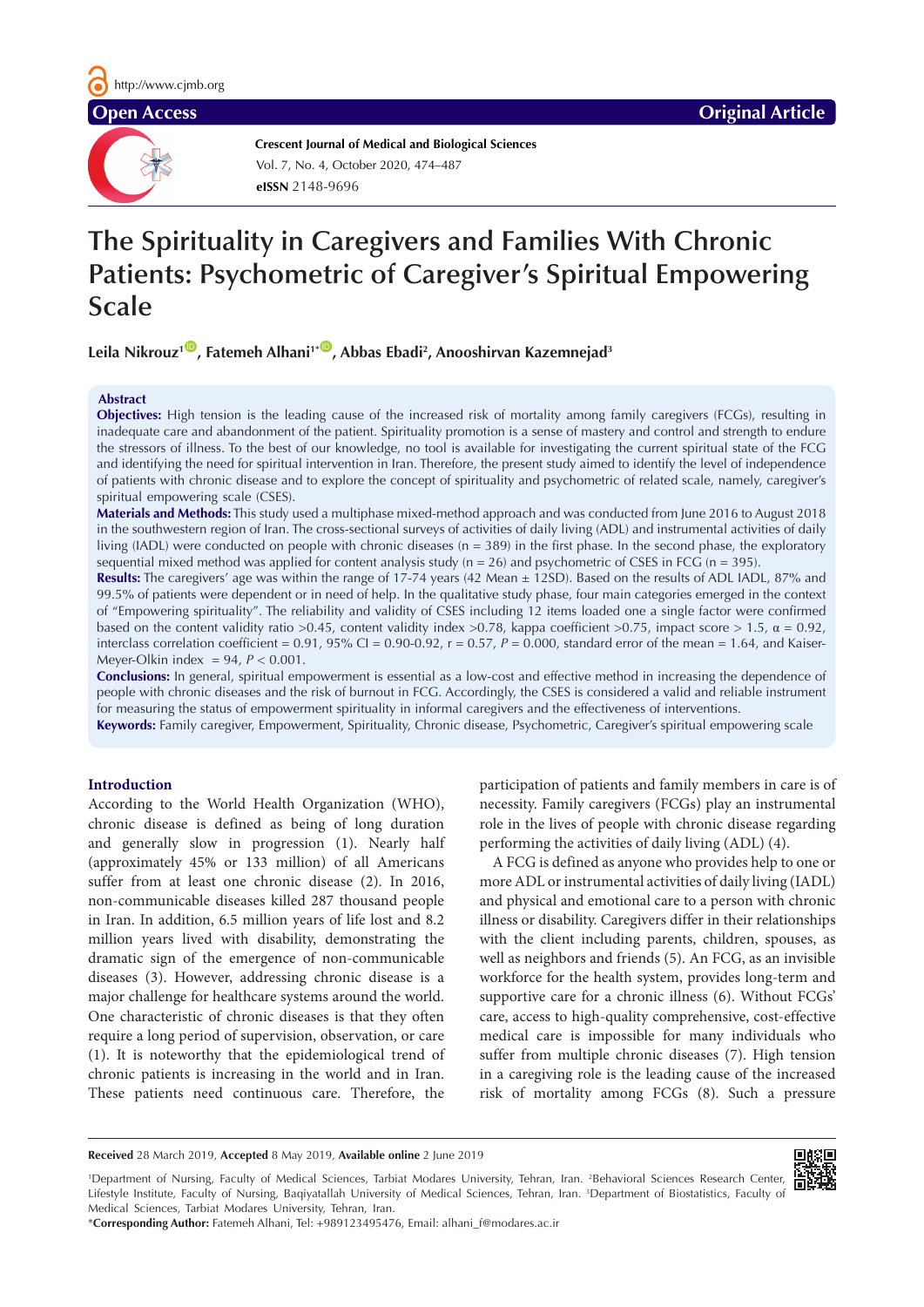

**Crescent Journal of Medical and Biological Sciences eISSN** 2148-9696 Vol. 7, No. 4, October 2020, 474–487

# **The Spirituality in Caregivers and Families With Chronic Patients: Psychometric of Caregiver's Spiritual Empowering Scale**

Leila Nikrouz<sup>1</sup>®, Fatemeh Alhani<sup>1+®</sup>, Abbas Ebadi<sup>2</sup>, Anooshirvan Kazemnejad<sup>3</sup>

#### **Abstract**

**Objectives:** High tension is the leading cause of the increased risk of mortality among family caregivers (FCGs), resulting in inadequate care and abandonment of the patient. Spirituality promotion is a sense of mastery and control and strength to endure the stressors of illness. To the best of our knowledge, no tool is available for investigating the current spiritual state of the FCG and identifying the need for spiritual intervention in Iran. Therefore, the present study aimed to identify the level of independence of patients with chronic disease and to explore the concept of spirituality and psychometric of related scale, namely, caregiver's spiritual empowering scale (CSES).

**Materials and Methods:** This study used a multiphase mixed-method approach and was conducted from June 2016 to August 2018 in the southwestern region of Iran. The cross-sectional surveys of activities of daily living (ADL) and instrumental activities of daily living (IADL) were conducted on people with chronic diseases (n = 389) in the first phase. In the second phase, the exploratory sequential mixed method was applied for content analysis study ( $n = 26$ ) and psychometric of CSES in FCG ( $n = 395$ ).

**Results:** The caregivers' age was within the range of 17-74 years (42 Mean ± 12SD). Based on the results of ADL IADL, 87% and 99.5% of patients were dependent or in need of help. In the qualitative study phase, four main categories emerged in the context of "Empowering spirituality". The reliability and validity of CSES including 12 items loaded one a single factor were confirmed based on the content validity ratio >0.45, content validity index >0.78, kappa coefficient >0.75, impact score > 1.5,  $\alpha$  = 0.92, interclass correlation coefficient =  $0.91$ ,  $95\%$  CI =  $0.90$ - $0.92$ ,  $r = 0.57$ ,  $P = 0.000$ , standard error of the mean = 1.64, and Kaiser-Meyer-Olkin index = 94, *P* < 0.001.

**Conclusions:** In general, spiritual empowerment is essential as a low-cost and effective method in increasing the dependence of people with chronic diseases and the risk of burnout in FCG. Accordingly, the CSES is considered a valid and reliable instrument for measuring the status of empowerment spirituality in informal caregivers and the effectiveness of interventions.

**Keywords:** Family caregiver, Empowerment, Spirituality, Chronic disease, Psychometric, Caregiver's spiritual empowering scale

#### **Introduction**

According to the World Health Organization (WHO), chronic disease is defined as being of long duration and generally slow in progression (1). Nearly half (approximately 45% or 133 million) of all Americans suffer from at least one chronic disease (2). In 2016, non-communicable diseases killed 287 thousand people in Iran. In addition, 6.5 million years of life lost and 8.2 million years lived with disability, demonstrating the dramatic sign of the emergence of non-communicable diseases (3). However, addressing chronic disease is a major challenge for healthcare systems around the world. One characteristic of chronic diseases is that they often require a long period of supervision, observation, or care (1). It is noteworthy that the epidemiological trend of chronic patients is increasing in the world and in Iran. These patients need continuous care. Therefore, the participation of patients and family members in care is of necessity. Family caregivers (FCGs) play an instrumental role in the lives of people with chronic disease regarding performing the activities of daily living (ADL) (4).

A FCG is defined as anyone who provides help to one or more ADL or instrumental activities of daily living (IADL) and physical and emotional care to a person with chronic illness or disability. Caregivers differ in their relationships with the client including parents, children, spouses, as well as neighbors and friends (5). An FCG, as an invisible workforce for the health system, provides long-term and supportive care for a chronic illness (6). Without FCGs' care, access to high-quality comprehensive, cost-effective medical care is impossible for many individuals who suffer from multiple chronic diseases (7). High tension in a caregiving role is the leading cause of the increased risk of mortality among FCGs (8). Such a pressure

**Received** 28 March 2019, **Accepted** 8 May 2019, **Available online** 2 June 2019

<sup>1</sup>Department of Nursing, Faculty of Medical Sciences, Tarbiat Modares University, Tehran, Iran. <sup>2</sup>Behavioral Sciences Research Center, Lifestyle Institute, Faculty of Nursing, Baqiyatallah University of Medical Sciences, Tehran, Iran. 3 Department of Biostatistics, Faculty of Medical Sciences, Tarbiat Modares University, Tehran, Iran.

\***Corresponding Author:** Fatemeh Alhani, Tel: +989123495476, Email: alhani\_f@modares.ac.ir

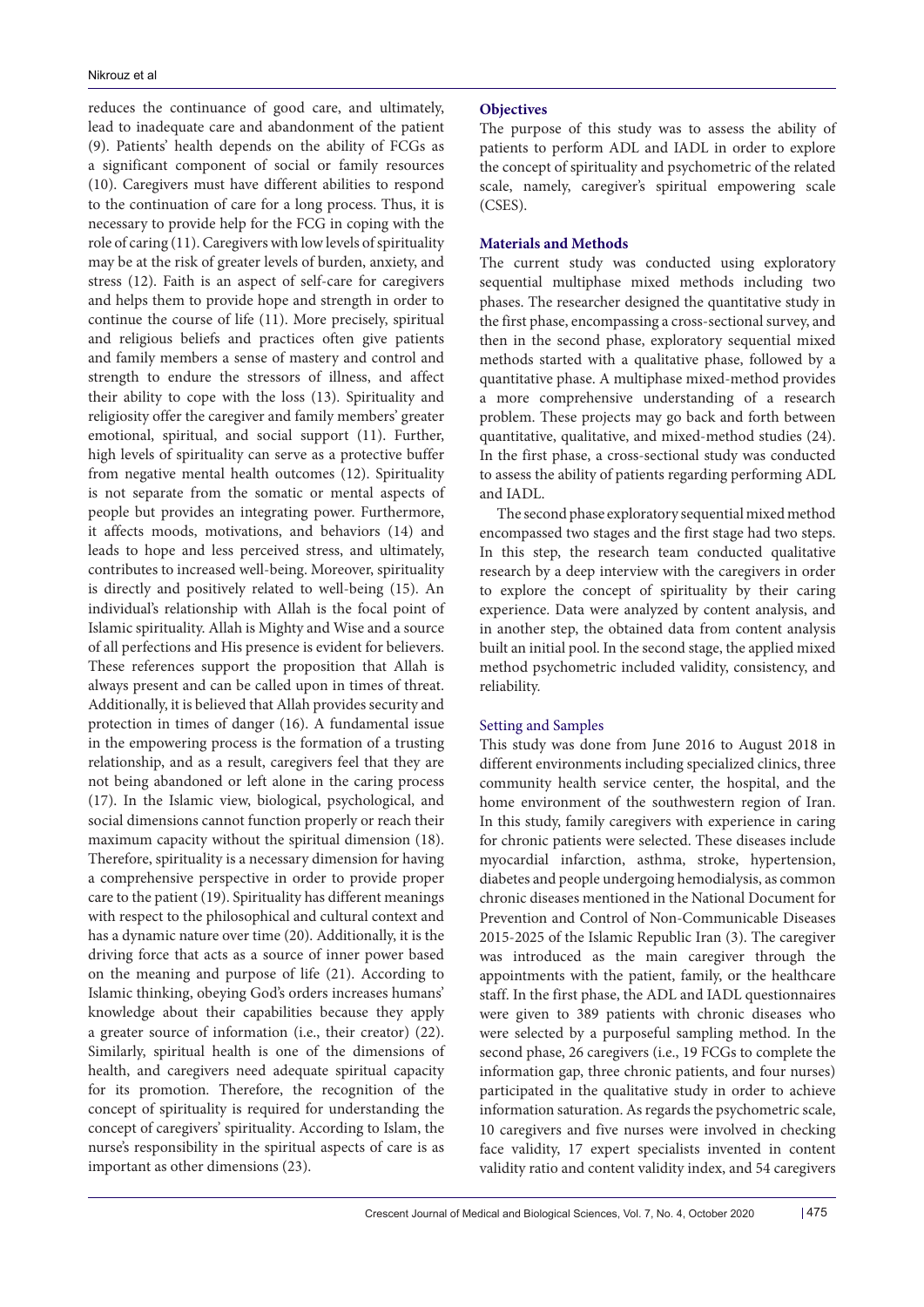reduces the continuance of good care, and ultimately, lead to inadequate care and abandonment of the patient (9). Patients' health depends on the ability of FCGs as a significant component of social or family resources (10). Caregivers must have different abilities to respond to the continuation of care for a long process. Thus, it is necessary to provide help for the FCG in coping with the role of caring (11). Caregivers with low levels of spirituality may be at the risk of greater levels of burden, anxiety, and stress (12). Faith is an aspect of self-care for caregivers and helps them to provide hope and strength in order to continue the course of life (11). More precisely, spiritual and religious beliefs and practices often give patients and family members a sense of mastery and control and strength to endure the stressors of illness, and affect their ability to cope with the loss (13). Spirituality and religiosity offer the caregiver and family members' greater emotional, spiritual, and social support (11). Further, high levels of spirituality can serve as a protective buffer from negative mental health outcomes (12). Spirituality is not separate from the somatic or mental aspects of people but provides an integrating power. Furthermore, it affects moods, motivations, and behaviors (14) and leads to hope and less perceived stress, and ultimately, contributes to increased well-being. Moreover, spirituality is directly and positively related to well-being (15). An individual's relationship with Allah is the focal point of Islamic spirituality. Allah is Mighty and Wise and a source of all perfections and His presence is evident for believers. These references support the proposition that Allah is always present and can be called upon in times of threat. Additionally, it is believed that Allah provides security and protection in times of danger (16). A fundamental issue in the empowering process is the formation of a trusting relationship, and as a result, caregivers feel that they are not being abandoned or left alone in the caring process (17). In the Islamic view, biological, psychological, and social dimensions cannot function properly or reach their maximum capacity without the spiritual dimension (18). Therefore, spirituality is a necessary dimension for having a comprehensive perspective in order to provide proper care to the patient (19). Spirituality has different meanings with respect to the philosophical and cultural context and has a dynamic nature over time (20). Additionally, it is the driving force that acts as a source of inner power based on the meaning and purpose of life (21). According to Islamic thinking, obeying God's orders increases humans' knowledge about their capabilities because they apply a greater source of information (i.e., their creator) (22). Similarly, spiritual health is one of the dimensions of health, and caregivers need adequate spiritual capacity for its promotion. Therefore, the recognition of the concept of spirituality is required for understanding the concept of caregivers' spirituality. According to Islam, the nurse's responsibility in the spiritual aspects of care is as important as other dimensions (23).

#### **Objectives**

The purpose of this study was to assess the ability of patients to perform ADL and IADL in order to explore the concept of spirituality and psychometric of the related scale, namely, caregiver's spiritual empowering scale (CSES).

#### **Materials and Methods**

The current study was conducted using exploratory sequential multiphase mixed methods including two phases. The researcher designed the quantitative study in the first phase, encompassing a cross-sectional survey, and then in the second phase, exploratory sequential mixed methods started with a qualitative phase, followed by a quantitative phase. A multiphase mixed-method provides a more comprehensive understanding of a research problem. These projects may go back and forth between quantitative, qualitative, and mixed-method studies (24). In the first phase, a cross-sectional study was conducted to assess the ability of patients regarding performing ADL and IADL.

The second phase exploratory sequential mixed method encompassed two stages and the first stage had two steps. In this step, the research team conducted qualitative research by a deep interview with the caregivers in order to explore the concept of spirituality by their caring experience. Data were analyzed by content analysis, and in another step, the obtained data from content analysis built an initial pool. In the second stage, the applied mixed method psychometric included validity, consistency, and reliability.

# Setting and Samples

This study was done from June 2016 to August 2018 in different environments including specialized clinics, three community health service center, the hospital, and the home environment of the southwestern region of Iran. In this study, family caregivers with experience in caring for chronic patients were selected. These diseases include myocardial infarction, asthma, stroke, hypertension, diabetes and people undergoing hemodialysis, as common chronic diseases mentioned in the National Document for Prevention and Control of Non-Communicable Diseases 2015-2025 of the Islamic Republic Iran (3). The caregiver was introduced as the main caregiver through the appointments with the patient, family, or the healthcare staff. In the first phase, the ADL and IADL questionnaires were given to 389 patients with chronic diseases who were selected by a purposeful sampling method. In the second phase, 26 caregivers (i.e., 19 FCGs to complete the information gap, three chronic patients, and four nurses) participated in the qualitative study in order to achieve information saturation. As regards the psychometric scale, 10 caregivers and five nurses were involved in checking face validity, 17 expert specialists invented in content validity ratio and content validity index, and 54 caregivers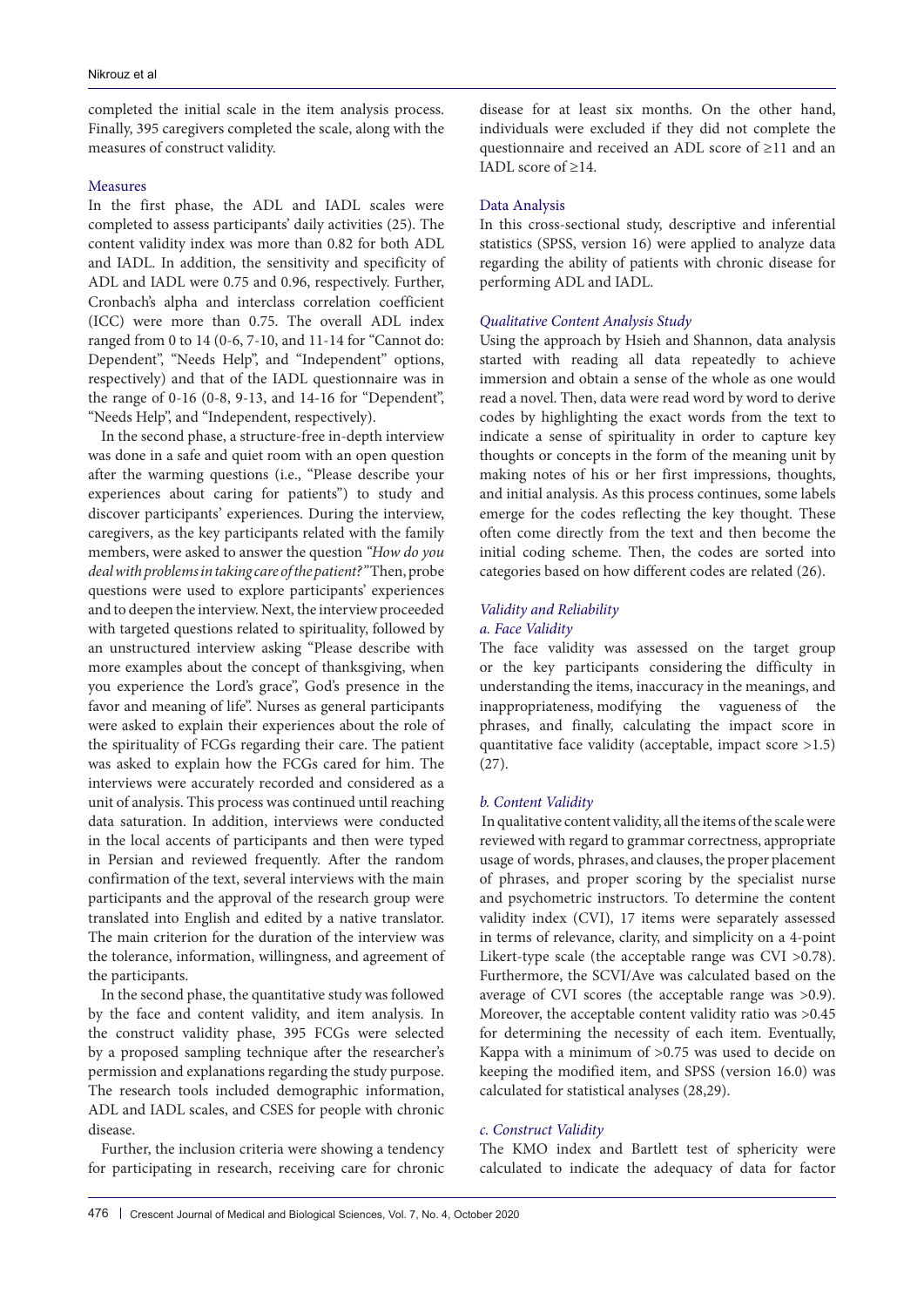completed the initial scale in the item analysis process. Finally, 395 caregivers completed the scale, along with the measures of construct validity.

#### Measures

In the first phase, the ADL and IADL scales were completed to assess participants' daily activities (25). The content validity index was more than 0.82 for both ADL and IADL. In addition, the sensitivity and specificity of ADL and IADL were 0.75 and 0.96, respectively. Further, Cronbach's alpha and interclass correlation coefficient (ICC) were more than 0.75. The overall ADL index ranged from 0 to 14 (0-6, 7-10, and 11-14 for "Cannot do: Dependent", "Needs Help", and "Independent" options, respectively) and that of the IADL questionnaire was in the range of 0-16 (0-8, 9-13, and 14-16 for "Dependent", "Needs Help", and "Independent, respectively).

In the second phase, a structure-free in-depth interview was done in a safe and quiet room with an open question after the warming questions (i.e., "Please describe your experiences about caring for patients") to study and discover participants' experiences. During the interview, caregivers, as the key participants related with the family members, were asked to answer the question *"How do you deal with problems in taking care of the patient?"* Then, probe questions were used to explore participants' experiences and to deepen the interview. Next, the interview proceeded with targeted questions related to spirituality, followed by an unstructured interview asking "Please describe with more examples about the concept of thanksgiving, when you experience the Lord's grace", God's presence in the favor and meaning of life". Nurses as general participants were asked to explain their experiences about the role of the spirituality of FCGs regarding their care. The patient was asked to explain how the FCGs cared for him. The interviews were accurately recorded and considered as a unit of analysis. This process was continued until reaching data saturation. In addition, interviews were conducted in the local accents of participants and then were typed in Persian and reviewed frequently. After the random confirmation of the text, several interviews with the main participants and the approval of the research group were translated into English and edited by a native translator. The main criterion for the duration of the interview was the tolerance, information, willingness, and agreement of the participants.

In the second phase, the quantitative study was followed by the face and content validity, and item analysis. In the construct validity phase, 395 FCGs were selected by a proposed sampling technique after the researcher's permission and explanations regarding the study purpose. The research tools included demographic information, ADL and IADL scales, and CSES for people with chronic disease.

Further, the inclusion criteria were showing a tendency for participating in research, receiving care for chronic disease for at least six months. On the other hand, individuals were excluded if they did not complete the questionnaire and received an ADL score of ≥11 and an IADL score of ≥14.

#### Data Analysis

In this cross-sectional study, descriptive and inferential statistics (SPSS, version 16) were applied to analyze data regarding the ability of patients with chronic disease for performing ADL and IADL.

#### *Qualitative Content Analysis Study*

Using the approach by Hsieh and Shannon, data analysis started with reading all data repeatedly to achieve immersion and obtain a sense of the whole as one would read a novel. Then, data were read word by word to derive codes by highlighting the exact words from the text to indicate a sense of spirituality in order to capture key thoughts or concepts in the form of the meaning unit by making notes of his or her first impressions, thoughts, and initial analysis. As this process continues, some labels emerge for the codes reflecting the key thought. These often come directly from the text and then become the initial coding scheme. Then, the codes are sorted into categories based on how different codes are related (26).

#### *Validity and Reliability*

#### *a. Face Validity*

The face validity was assessed on the target group or the key participants considering the difficulty in understanding the items, inaccuracy in the meanings, and inappropriateness, modifying the vagueness of the phrases, and finally, calculating the impact score in quantitative face validity (acceptable, impact score >1.5) (27).

#### *b. Content Validity*

 In qualitative content validity, all the items of the scale were reviewed with regard to grammar correctness, appropriate usage of words, phrases, and clauses, the proper placement of phrases, and proper scoring by the specialist nurse and psychometric instructors. To determine the content validity index (CVI), 17 items were separately assessed in terms of relevance, clarity, and simplicity on a 4-point Likert-type scale (the acceptable range was CVI > 0.78). Furthermore, the SCVI/Ave was calculated based on the average of CVI scores (the acceptable range was >0.9). Moreover, the acceptable content validity ratio was >0.45 for determining the necessity of each item. Eventually, Kappa with a minimum of >0.75 was used to decide on keeping the modified item, and SPSS (version 16.0) was calculated for statistical analyses (28,29).

# *c. Construct Validity*

The KMO index and Bartlett test of sphericity were calculated to indicate the adequacy of data for factor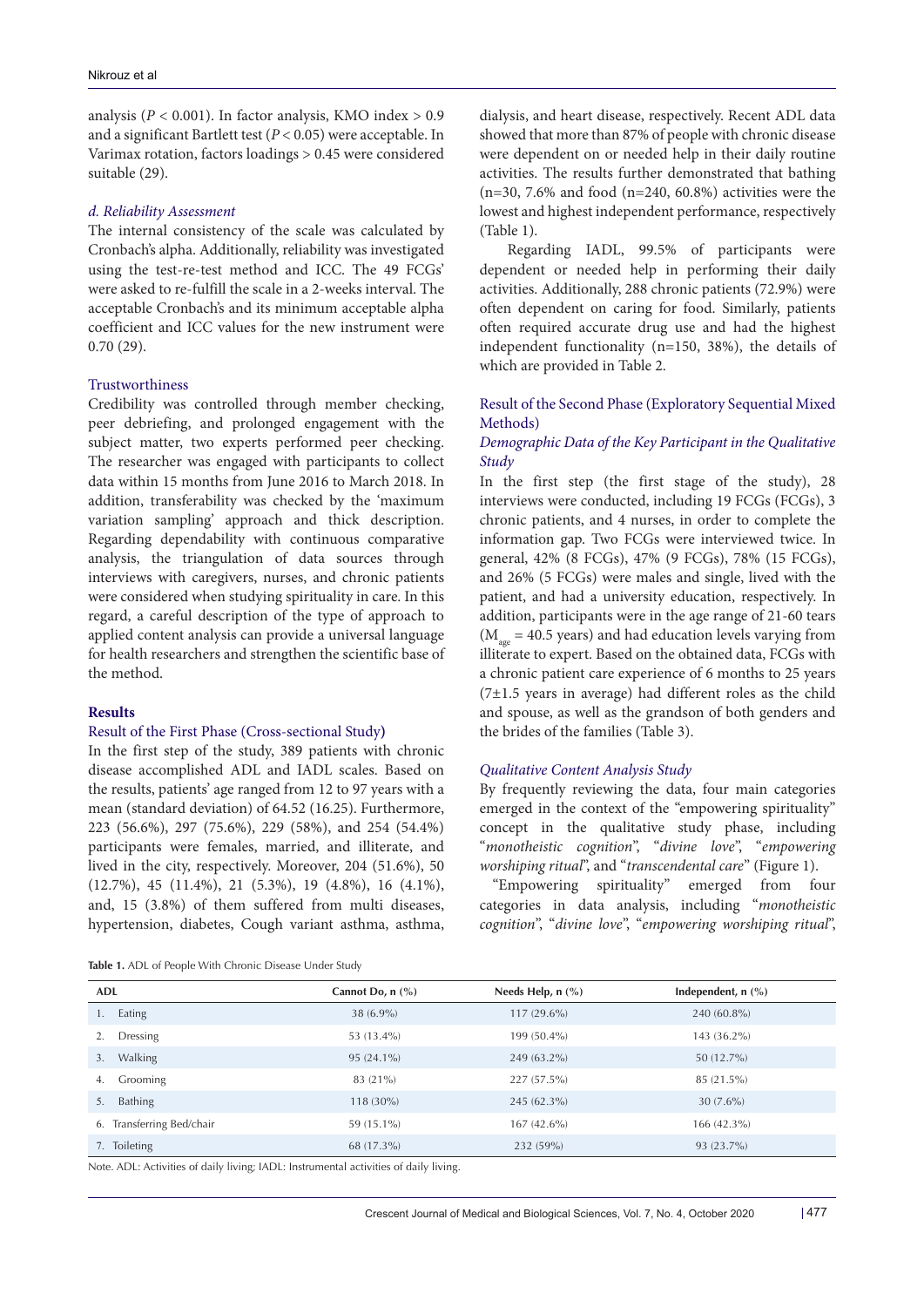analysis ( $P < 0.001$ ). In factor analysis, KMO index  $> 0.9$ and a significant Bartlett test (*P* < 0.05) were acceptable. In Varimax rotation, factors loadings > 0.45 were considered suitable (29).

#### *d. Reliability Assessment*

The internal consistency of the scale was calculated by Cronbach's alpha. Additionally, reliability was investigated using the test-re-test method and ICC. The 49 FCGs' were asked to re-fulfill the scale in a 2-weeks interval. The acceptable Cronbach's and its minimum acceptable alpha coefficient and ICC values for the new instrument were 0.70 (29).

# Trustworthiness

Credibility was controlled through member checking, peer debriefing, and prolonged engagement with the subject matter, two experts performed peer checking. The researcher was engaged with participants to collect data within 15 months from June 2016 to March 2018. In addition, transferability was checked by the 'maximum variation sampling' approach and thick description. Regarding dependability with continuous comparative analysis, the triangulation of data sources through interviews with caregivers, nurses, and chronic patients were considered when studying spirituality in care. In this regard, a careful description of the type of approach to applied content analysis can provide a universal language for health researchers and strengthen the scientific base of the method.

## **Results**

#### Result of the First Phase (Cross-sectional Study**)**

In the first step of the study, 389 patients with chronic disease accomplished ADL and IADL scales. Based on the results, patients' age ranged from 12 to 97 years with a mean (standard deviation) of 64.52 (16.25). Furthermore, 223 (56.6%), 297 (75.6%), 229 (58%), and 254 (54.4%) participants were females, married, and illiterate, and lived in the city, respectively. Moreover, 204 (51.6%), 50 (12.7%), 45 (11.4%), 21 (5.3%), 19 (4.8%), 16 (4.1%), and, 15 (3.8%) of them suffered from multi diseases, hypertension, diabetes, Cough variant asthma, asthma,

| Table 1. ADL of People With Chronic Disease Under Study |  |
|---------------------------------------------------------|--|
|---------------------------------------------------------|--|

dialysis, and heart disease, respectively. Recent ADL data showed that more than 87% of people with chronic disease were dependent on or needed help in their daily routine activities. The results further demonstrated that bathing (n=30, 7.6% and food (n=240, 60.8%) activities were the lowest and highest independent performance, respectively (Table 1).

Regarding IADL, 99.5% of participants were dependent or needed help in performing their daily activities. Additionally, 288 chronic patients (72.9%) were often dependent on caring for food. Similarly, patients often required accurate drug use and had the highest independent functionality (n=150, 38%), the details of which are provided in Table 2.

# Result of the Second Phase (Exploratory Sequential Mixed Methods)

# *Demographic Data of the Key Participant in the Qualitative Study*

In the first step (the first stage of the study), 28 interviews were conducted, including 19 FCGs (FCGs), 3 chronic patients, and 4 nurses, in order to complete the information gap. Two FCGs were interviewed twice. In general, 42% (8 FCGs), 47% (9 FCGs), 78% (15 FCGs), and 26% (5 FCGs) were males and single, lived with the patient, and had a university education, respectively. In addition, participants were in the age range of 21-60 tears  $(M_{\text{age}} = 40.5 \text{ years})$  and had education levels varying from illiterate to expert. Based on the obtained data, FCGs with a chronic patient care experience of 6 months to 25 years (7±1.5 years in average) had different roles as the child and spouse, as well as the grandson of both genders and the brides of the families (Table 3).

#### *Qualitative Content Analysis Study*

By frequently reviewing the data, four main categories emerged in the context of the "empowering spirituality" concept in the qualitative study phase, including "*monotheistic cognition*", "*divine love*", "*empowering worshiping ritual*", and "*transcendental care*" (Figure 1).

"Empowering spirituality" emerged from four categories in data analysis, including "*monotheistic cognition*", "*divine love*", "*empowering worshiping ritual*",

| ADL                          | Cannot Do, $n$ $\left(\frac{9}{6}\right)$ | Needs Help, $n$ $(\%)$ | Independent, $n$ (%) |
|------------------------------|-------------------------------------------|------------------------|----------------------|
| Eating<br>1.                 | $38(6.9\%)$                               | $117(29.6\%)$          | 240 (60.8%)          |
| Dressing                     | 53 (13.4%)                                | 199 (50.4%)            | 143 (36.2%)          |
| Walking<br>3.                | $95(24.1\%)$                              | 249 (63.2%)            | 50 (12.7%)           |
| Grooming<br>4.               | 83 (21%)                                  | 227 (57.5%)            | 85 (21.5%)           |
| Bathing<br>5.                | $118(30\%)$                               | 245 (62.3%)            | $30(7.6\%)$          |
| Transferring Bed/chair<br>6. | 59 (15.1%)                                | $167(42.6\%)$          | $166(42.3\%)$        |
| 7. Toileting                 | 68 (17.3%)                                | 232 (59%)              | 93 (23.7%)           |

Note. ADL: Activities of daily living; IADL: Instrumental activities of daily living.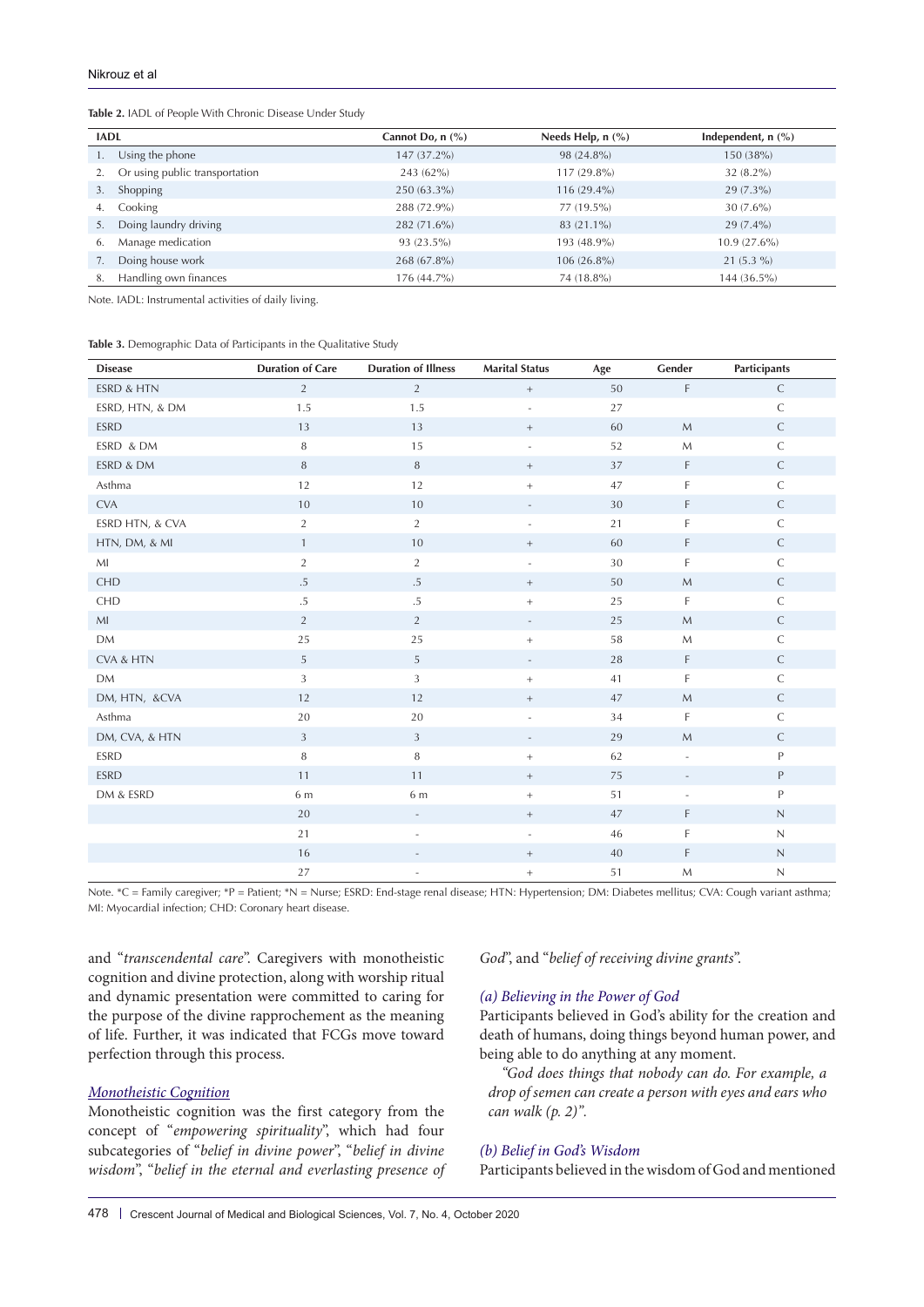#### **Table 2.** IADL of People With Chronic Disease Under Study

| <b>IADL</b> |                                | Cannot Do, $n$ $(\%)$ | Needs Help, $n$ $(\%)$ | Independent, $n$ (%) |
|-------------|--------------------------------|-----------------------|------------------------|----------------------|
|             | Using the phone                | 147 (37.2%)           | 98 (24.8%)             | 150 (38%)            |
|             | Or using public transportation | 243 (62%)             | 117 (29.8%)            | $32(8.2\%)$          |
| 3.          | Shopping                       | $250(63.3\%)$         | $116(29.4\%)$          | $29(7.3\%)$          |
| 4.          | Cooking                        | 288 (72.9%)           | 77 (19.5%)             | $30(7.6\%)$          |
|             | Doing laundry driving          | 282 (71.6%)           | 83 (21.1%)             | $29(7.4\%)$          |
| 6.          | Manage medication              | 93 (23.5%)            | 193 (48.9%)            | $10.9(27.6\%)$       |
| 7.          | Doing house work               | 268 (67.8%)           | 106 (26.8%)            | $21(5.3\%)$          |
| 8.          | Handling own finances          | 176 (44.7%)           | 74 (18.8%)             | 144 (36.5%)          |

Note. IADL: Instrumental activities of daily living.

**Table 3.** Demographic Data of Participants in the Qualitative Study

| <b>Disease</b>        | <b>Duration of Care</b> | <b>Duration of Illness</b> | <b>Marital Status</b>    | Age | Gender                   | Participants |
|-----------------------|-------------------------|----------------------------|--------------------------|-----|--------------------------|--------------|
| <b>ESRD &amp; HTN</b> | $\overline{2}$          | $\overline{2}$             | $^+ \,$                  | 50  | $\mathsf F$              | $\mathsf C$  |
| ESRD, HTN, & DM       | 1.5                     | 1.5                        | $\overline{\phantom{a}}$ | 27  |                          | $\mathsf C$  |
| <b>ESRD</b>           | 13                      | 13                         | $^+$                     | 60  | $M_{\odot}$              | $\mathsf C$  |
| ESRD & DM             | 8                       | 15                         | $\overline{\phantom{a}}$ | 52  | $\mathsf{M}$             | $\mathsf C$  |
| ESRD & DM             | 8                       | $\,8\,$                    | $\! +$                   | 37  | F                        | $\mathsf C$  |
| Asthma                | 12                      | 12                         | $\! +$                   | 47  | F                        | $\mathsf C$  |
| <b>CVA</b>            | 10                      | 10                         | $\qquad \qquad -$        | 30  | F                        | $\mathsf C$  |
| ESRD HTN, & CVA       | $\overline{2}$          | $\overline{2}$             |                          | 21  | F                        | $\mathsf C$  |
| HTN, DM, & MI         | $\mathbf{1}$            | 10                         | $^+$                     | 60  | F                        | $\mathsf C$  |
| MI                    | $\overline{2}$          | $\overline{2}$             | $\overline{\phantom{a}}$ | 30  | F                        | $\mathsf C$  |
| <b>CHD</b>            | $.5\,$                  | $.5\,$                     | $^+$                     | 50  | ${\sf M}$                | $\mathsf C$  |
| CHD                   | $.5\,$                  | $.5\,$                     | $\boldsymbol{+}$         | 25  | F                        | $\mathsf C$  |
| MI                    | $\overline{2}$          | $\overline{2}$             | $\overline{\phantom{a}}$ | 25  | $\mathsf{M}$             | $\mathsf C$  |
| <b>DM</b>             | 25                      | 25                         | $^+$                     | 58  | $\mathsf{M}$             | $\mathsf C$  |
| CVA & HTN             | 5                       | 5                          | $\overline{\phantom{a}}$ | 28  | F                        | $\mathsf C$  |
| <b>DM</b>             | 3                       | $\mathbf{3}$               | $^+$                     | 41  | F                        | $\mathsf C$  |
| DM, HTN, &CVA         | 12                      | 12                         | $^+$                     | 47  | ${\sf M}$                | $\mathsf C$  |
| Asthma                | 20                      | 20                         | $\overline{\phantom{a}}$ | 34  | F                        | $\mathsf C$  |
| DM, CVA, & HTN        | 3                       | $\mathbf{3}$               | $\overline{\phantom{a}}$ | 29  | $M_{\odot}$              | $\mathsf C$  |
| <b>ESRD</b>           | 8                       | 8                          | $\boldsymbol{+}$         | 62  | $\equiv$                 | P            |
| <b>ESRD</b>           | 11                      | 11                         | $^+$                     | 75  | $\overline{\phantom{a}}$ | $\mathsf P$  |
| DM & ESRD             | 6 m                     | 6 m                        | $^+$                     | 51  | $\overline{\phantom{m}}$ | P            |
|                       | 20                      | ÷.                         | $^+$                     | 47  | F                        | $\hbox{N}$   |
|                       | 21                      | $\overline{\phantom{a}}$   | $\overline{\phantom{a}}$ | 46  | F                        | $\mathsf N$  |
|                       | 16                      | $\overline{\phantom{a}}$   | $^+$                     | 40  | F                        | $\hbox{N}$   |
|                       | 27                      | ÷,                         | $^+$                     | 51  | ${\sf M}$                | $\mathsf N$  |

Note. \*C = Family caregiver; \*P = Patient; \*N = Nurse; ESRD: End-stage renal disease; HTN: Hypertension; DM: Diabetes mellitus; CVA: Cough variant asthma; MI: Myocardial infection; CHD: Coronary heart disease.

and "*transcendental care*". Caregivers with monotheistic cognition and divine protection, along with worship ritual and dynamic presentation were committed to caring for the purpose of the divine rapprochement as the meaning of life. Further, it was indicated that FCGs move toward perfection through this process.

# *Monotheistic Cognition*

Monotheistic cognition was the first category from the concept of "*empowering spirituality*", which had four subcategories of "*belief in divine power*", "*belief in divine wisdom*", "*belief in the eternal and everlasting presence of*  *God*", and "*belief of receiving divine grants*".

#### *(a) Believing in the Power of God*

Participants believed in God's ability for the creation and death of humans, doing things beyond human power, and being able to do anything at any moment.

*"God does things that nobody can do. For example, a drop of semen can create a person with eyes and ears who can walk (p. 2)".*

# *(b) Belief in God's Wisdom*

Participants believed in the wisdom of God and mentioned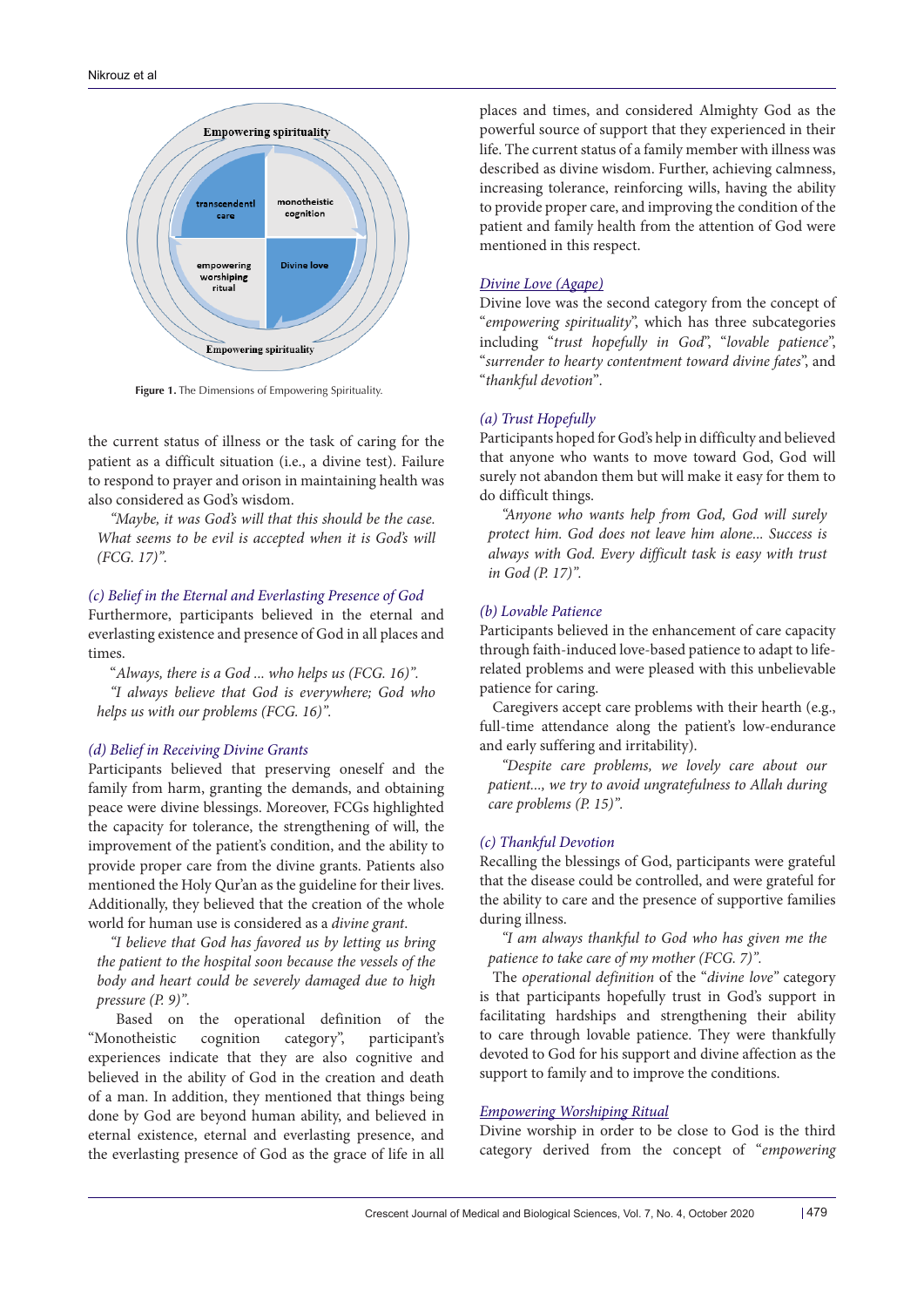

**Figure 1.** The Dimensions of Empowering Spirituality.

the current status of illness or the task of caring for the patient as a difficult situation (i.e., a divine test). Failure to respond to prayer and orison in maintaining health was also considered as God's wisdom.

*"Maybe, it was God's will that this should be the case.*  What seems to be evil is accepted when it is God's will *(FCG. 17)".*

#### *(c) Belief in the Eternal and Everlasting Presence of God*

Furthermore, participants believed in the eternal and everlasting existence and presence of God in all places and times.

"*Always, there is a God ... who helps us (FCG. 16)". "I always believe that God is everywhere; God who helps us with our problems (FCG. 16)".*

#### *(d) Belief in Receiving Divine Grants*

Participants believed that preserving oneself and the family from harm, granting the demands, and obtaining peace were divine blessings. Moreover, FCGs highlighted the capacity for tolerance, the strengthening of will, the improvement of the patient's condition, and the ability to provide proper care from the divine grants. Patients also mentioned the Holy Qur'an as the guideline for their lives. Additionally, they believed that the creation of the whole world for human use is considered as a *divine grant*.

*"I believe that God has favored us by letting us bring the patient to the hospital soon because the vessels of the body and heart could be severely damaged due to high pressure (P. 9)".*

Based on the operational definition of the "Monotheistic cognition category", participant's experiences indicate that they are also cognitive and believed in the ability of God in the creation and death of a man. In addition, they mentioned that things being done by God are beyond human ability, and believed in eternal existence, eternal and everlasting presence, and the everlasting presence of God as the grace of life in all

places and times, and considered Almighty God as the powerful source of support that they experienced in their life. The current status of a family member with illness was described as divine wisdom. Further, achieving calmness, increasing tolerance, reinforcing wills, having the ability to provide proper care, and improving the condition of the patient and family health from the attention of God were mentioned in this respect.

# *Divine Love (Agape)*

Divine love was the second category from the concept of "*empowering spirituality*", which has three subcategories including "*trust hopefully in God*", "*lovable patience*", "*surrender to hearty contentment toward divine fates*", and "*thankful devotion*"*.*

#### *(a) Trust Hopefully*

Participants hoped for God's help in difficulty and believed that anyone who wants to move toward God, God will surely not abandon them but will make it easy for them to do difficult things.

*"Anyone who wants help from God, God will surely protect him. God does not leave him alone... Success is always with God. Every difficult task is easy with trust in God (P. 17)".*

# *(b) Lovable Patience*

Participants believed in the enhancement of care capacity through faith-induced love-based patience to adapt to liferelated problems and were pleased with this unbelievable patience for caring.

Caregivers accept care problems with their hearth (e.g., full-time attendance along the patient's low-endurance and early suffering and irritability).

*"Despite care problems, we lovely care about our patient..., we try to avoid ungratefulness to Allah during care problems (P. 15)".*

#### *(c) Thankful Devotion*

Recalling the blessings of God, participants were grateful that the disease could be controlled, and were grateful for the ability to care and the presence of supportive families during illness.

*"I am always thankful to God who has given me the patience to take care of my mother (FCG. 7)".*

The *operational definition* of the "*divine love"* category is that participants hopefully trust in God's support in facilitating hardships and strengthening their ability to care through lovable patience. They were thankfully devoted to God for his support and divine affection as the support to family and to improve the conditions.

# *Empowering Worshiping Ritual*

Divine worship in order to be close to God is the third category derived from the concept of "*empowering*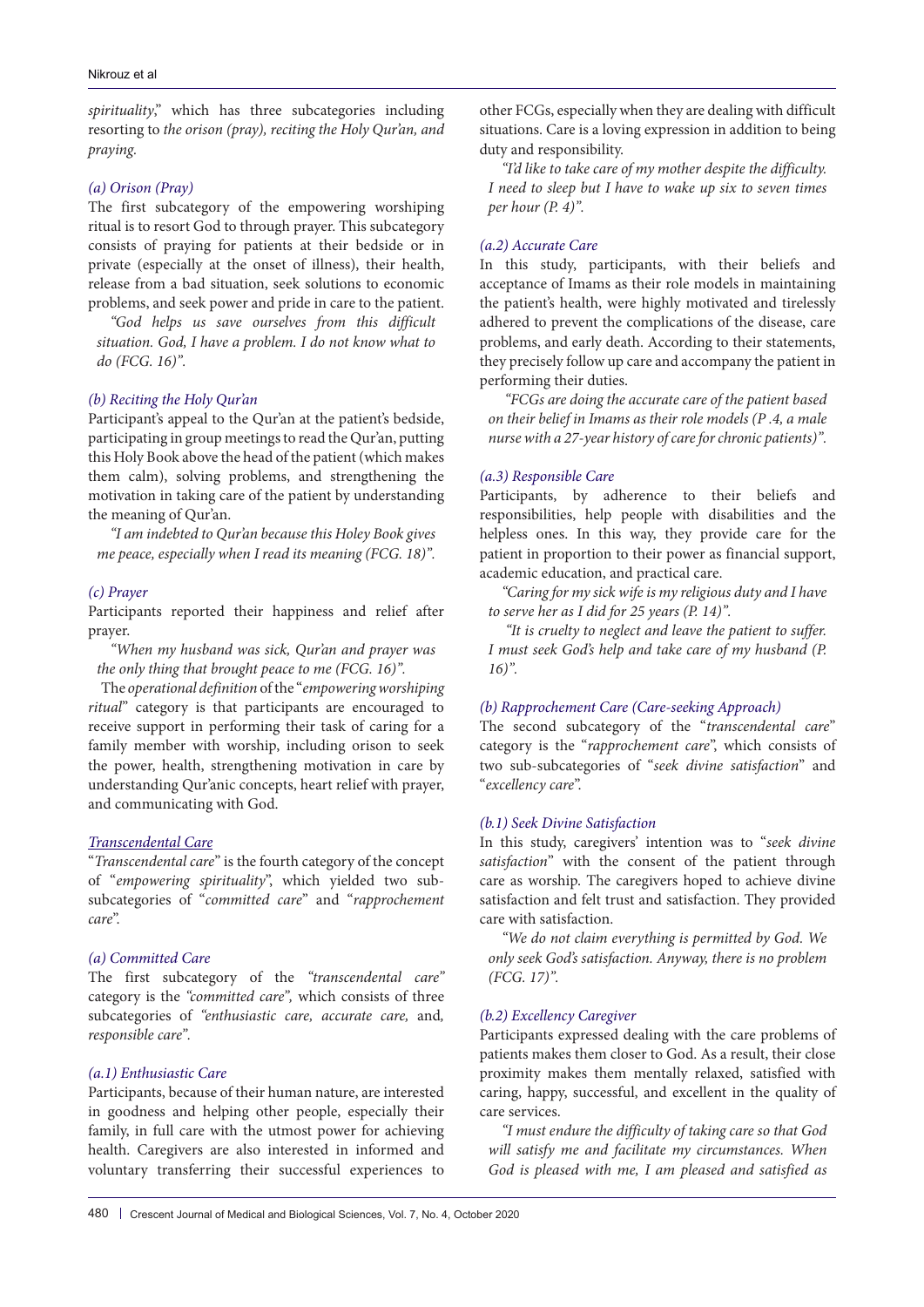*spirituality*," which has three subcategories including resorting to *the orison (pray), reciting the Holy Qur'an, and praying.*

# *(a) Orison (Pray)*

The first subcategory of the empowering worshiping ritual is to resort God to through prayer. This subcategory consists of praying for patients at their bedside or in private (especially at the onset of illness), their health, release from a bad situation, seek solutions to economic problems, and seek power and pride in care to the patient.

*"God helps us save ourselves from this difficult situation. God, I have a problem. I do not know what to do (FCG. 16)".*

# *(b) Reciting the Holy Qur'an*

Participant's appeal to the Qur'an at the patient's bedside, participating in group meetings to read the Qur'an, putting this Holy Book above the head of the patient (which makes them calm), solving problems, and strengthening the motivation in taking care of the patient by understanding the meaning of Qur'an.

*"I am indebted to Qur'an because this Holey Book gives me peace, especially when I read its meaning (FCG. 18)".*

#### *(c) Prayer*

Participants reported their happiness and relief after prayer.

*"When my husband was sick, Qur'an and prayer was the only thing that brought peace to me (FCG. 16)".*

The *operational definition* of the "*empowering worshiping ritual*" category is that participants are encouraged to receive support in performing their task of caring for a family member with worship, including orison to seek the power, health, strengthening motivation in care by understanding Qur'anic concepts, heart relief with prayer, and communicating with God.

# *Transcendental Care*

"*Transcendental care*" is the fourth category of the concept of "*empowering spirituality*", which yielded two subsubcategories of "*committed care*" and "*rapprochement care*".

# *(a) Committed Care*

The first subcategory of the *"transcendental care"*  category is the *"committed care",* which consists of three subcategories of *"enthusiastic care, accurate care,* and*, responsible care".*

#### *(a.1) Enthusiastic Care*

Participants, because of their human nature, are interested in goodness and helping other people, especially their family, in full care with the utmost power for achieving health. Caregivers are also interested in informed and voluntary transferring their successful experiences to other FCGs, especially when they are dealing with difficult situations. Care is a loving expression in addition to being duty and responsibility.

*"I'd like to take care of my mother despite the difficulty. I need to sleep but I have to wake up six to seven times per hour (P. 4)".*

# *(a.2) Accurate Care*

In this study, participants, with their beliefs and acceptance of Imams as their role models in maintaining the patient's health, were highly motivated and tirelessly adhered to prevent the complications of the disease, care problems, and early death. According to their statements, they precisely follow up care and accompany the patient in performing their duties.

*"FCGs are doing the accurate care of the patient based on their belief in Imams as their role models (P .4, a male nurse with a 27-year history of care for chronic patients)".*

#### *(a.3) Responsible Care*

Participants, by adherence to their beliefs and responsibilities, help people with disabilities and the helpless ones. In this way, they provide care for the patient in proportion to their power as financial support, academic education, and practical care.

*"Caring for my sick wife is my religious duty and I have to serve her as I did for 25 years (P. 14)".* 

 *"It is cruelty to neglect and leave the patient to suffer. I must seek God's help and take care of my husband (P. 16)".*

# *(b) Rapprochement Care (Care-seeking Approach)*

The second subcategory of the "*transcendental care*" category is the "*rapprochement care*", which consists of two sub-subcategories of "*seek divine satisfaction*" and "*excellency care*".

#### *(b.1) Seek Divine Satisfaction*

In this study, caregivers' intention was to "*seek divine satisfaction*" with the consent of the patient through care as worship. The caregivers hoped to achieve divine satisfaction and felt trust and satisfaction. They provided care with satisfaction.

*"We do not claim everything is permitted by God. We only seek God's satisfaction. Anyway, there is no problem (FCG. 17)".*

# *(b.2) Excellency Caregiver*

Participants expressed dealing with the care problems of patients makes them closer to God. As a result, their close proximity makes them mentally relaxed, satisfied with caring, happy, successful, and excellent in the quality of care services.

*"I must endure the difficulty of taking care so that God will satisfy me and facilitate my circumstances. When God is pleased with me, I am pleased and satisfied as*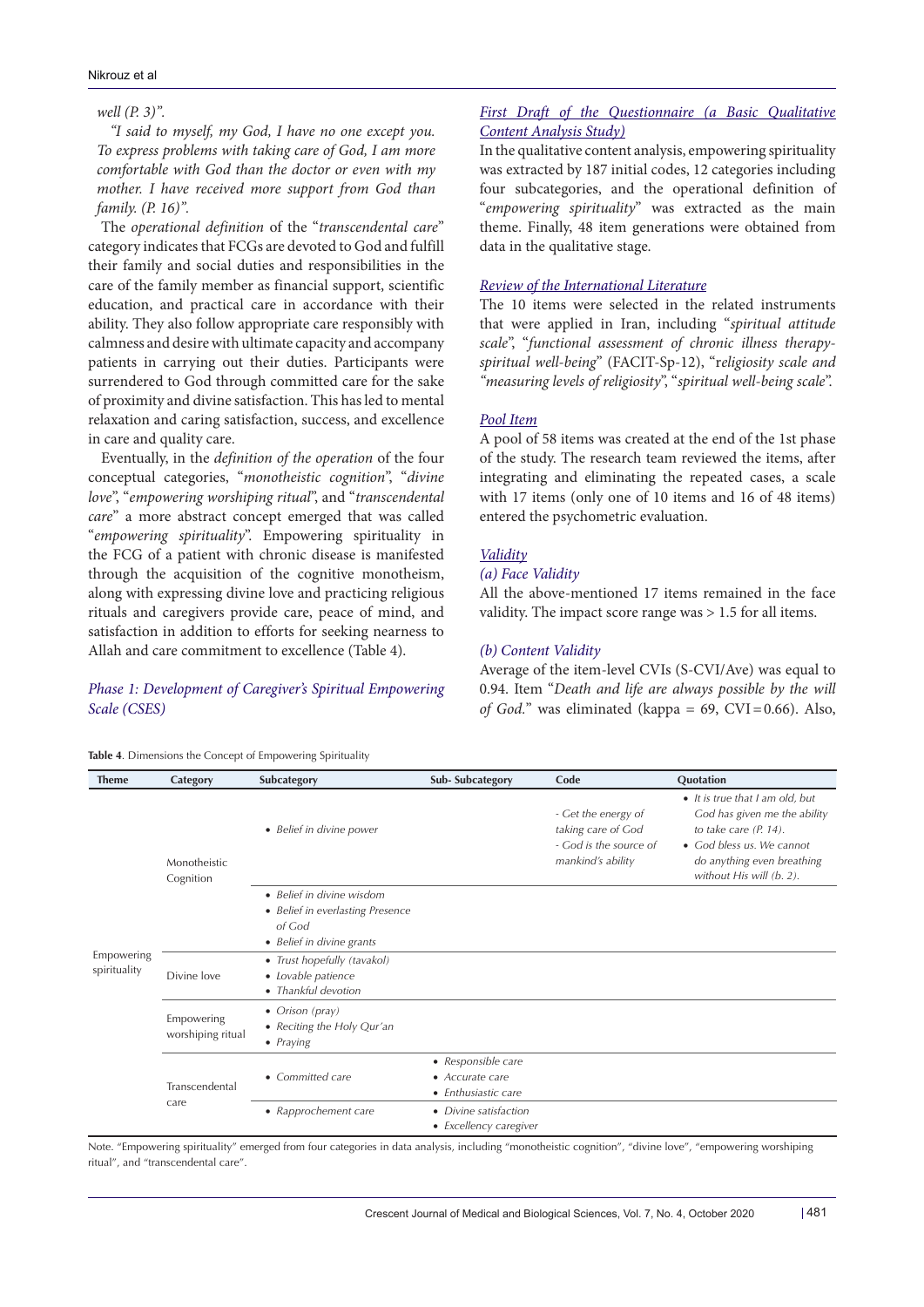#### Nikrouz et al

#### *well (P. 3)".*

*"I said to myself, my God, I have no one except you. To express problems with taking care of God, I am more comfortable with God than the doctor or even with my mother. I have received more support from God than family. (P. 16)".*

The *operational definition* of the "*transcendental care*" category indicates that FCGs are devoted to God and fulfill their family and social duties and responsibilities in the care of the family member as financial support, scientific education, and practical care in accordance with their ability. They also follow appropriate care responsibly with calmness and desire with ultimate capacity and accompany patients in carrying out their duties. Participants were surrendered to God through committed care for the sake of proximity and divine satisfaction. This has led to mental relaxation and caring satisfaction, success, and excellence in care and quality care.

Eventually, in the *definition of the operation* of the four conceptual categories, "*monotheistic cognition*", "*divine love*", "*empowering worshiping ritual*", and "*transcendental care*" a more abstract concept emerged that was called "*empowering spirituality*". Empowering spirituality in the FCG of a patient with chronic disease is manifested through the acquisition of the cognitive monotheism, along with expressing divine love and practicing religious rituals and caregivers provide care, peace of mind, and satisfaction in addition to efforts for seeking nearness to Allah and care commitment to excellence (Table 4).

# *Phase 1: Development of Caregiver's Spiritual Empowering Scale (CSES)*

# *First Draft of the Questionnaire (a Basic Qualitative Content Analysis Study)*

In the qualitative content analysis, empowering spirituality was extracted by 187 initial codes, 12 categories including four subcategories, and the operational definition of "*empowering spirituality*" was extracted as the main theme. Finally, 48 item generations were obtained from data in the qualitative stage.

# *Review of the International Literature*

The 10 items were selected in the related instruments that were applied in Iran, including "*spiritual attitude scale*", "*functional assessment of chronic illness therapyspiritual well-being*" (FACIT-Sp-12), "r*eligiosity scale and "measuring levels of religiosity*", "*spiritual well-being scale*".

#### *Pool Item*

A pool of 58 items was created at the end of the 1st phase of the study. The research team reviewed the items, after integrating and eliminating the repeated cases, a scale with 17 items (only one of 10 items and 16 of 48 items) entered the psychometric evaluation.

# *Validity*

# *(a) Face Validity*

All the above-mentioned 17 items remained in the face validity. The impact score range was > 1.5 for all items.

#### *(b) Content Validity*

Average of the item-level CVIs (S-CVI/Ave) was equal to 0.94. Item "*Death and life are always possible by the will of God.*" was eliminated (kappa =  $69$ , CVI=0.66). Also,

**Table 4**. Dimensions the Concept of Empowering Spirituality

| <b>Theme</b>               | Category                        | Subcategory                                                                                          | Sub-Subcategory                                              | Code                                                                                     | Quotation                                                                                                                                                                          |
|----------------------------|---------------------------------|------------------------------------------------------------------------------------------------------|--------------------------------------------------------------|------------------------------------------------------------------------------------------|------------------------------------------------------------------------------------------------------------------------------------------------------------------------------------|
| Empowering<br>spirituality | Monotheistic<br>Cognition       | • Belief in divine power                                                                             |                                                              | - Get the energy of<br>taking care of God<br>- God is the source of<br>mankind's ability | • It is true that I am old, but<br>God has given me the ability<br>to take care $(P. 14)$ .<br>• God bless us. We cannot<br>do anything even breathing<br>without His will (b. 2). |
|                            |                                 | • Belief in divine wisdom<br>• Belief in everlasting Presence<br>of God<br>• Belief in divine grants |                                                              |                                                                                          |                                                                                                                                                                                    |
|                            | Divine love                     | • Trust hopefully (tavakol)<br>• Lovable patience<br>• Thankful devotion                             |                                                              |                                                                                          |                                                                                                                                                                                    |
|                            | Empowering<br>worshiping ritual | • Orison (pray)<br>• Reciting the Holy Qur'an<br>• Praying                                           |                                                              |                                                                                          |                                                                                                                                                                                    |
|                            | Transcendental<br>care          | • Committed care                                                                                     | • Responsible care<br>• Accurate care<br>• Enthusiastic care |                                                                                          |                                                                                                                                                                                    |
|                            |                                 | • Rapprochement care                                                                                 | • Divine satisfaction<br>• Excellency caregiver              |                                                                                          |                                                                                                                                                                                    |

Note. "Empowering spirituality" emerged from four categories in data analysis, including "monotheistic cognition", "divine love", "empowering worshiping ritual", and "transcendental care".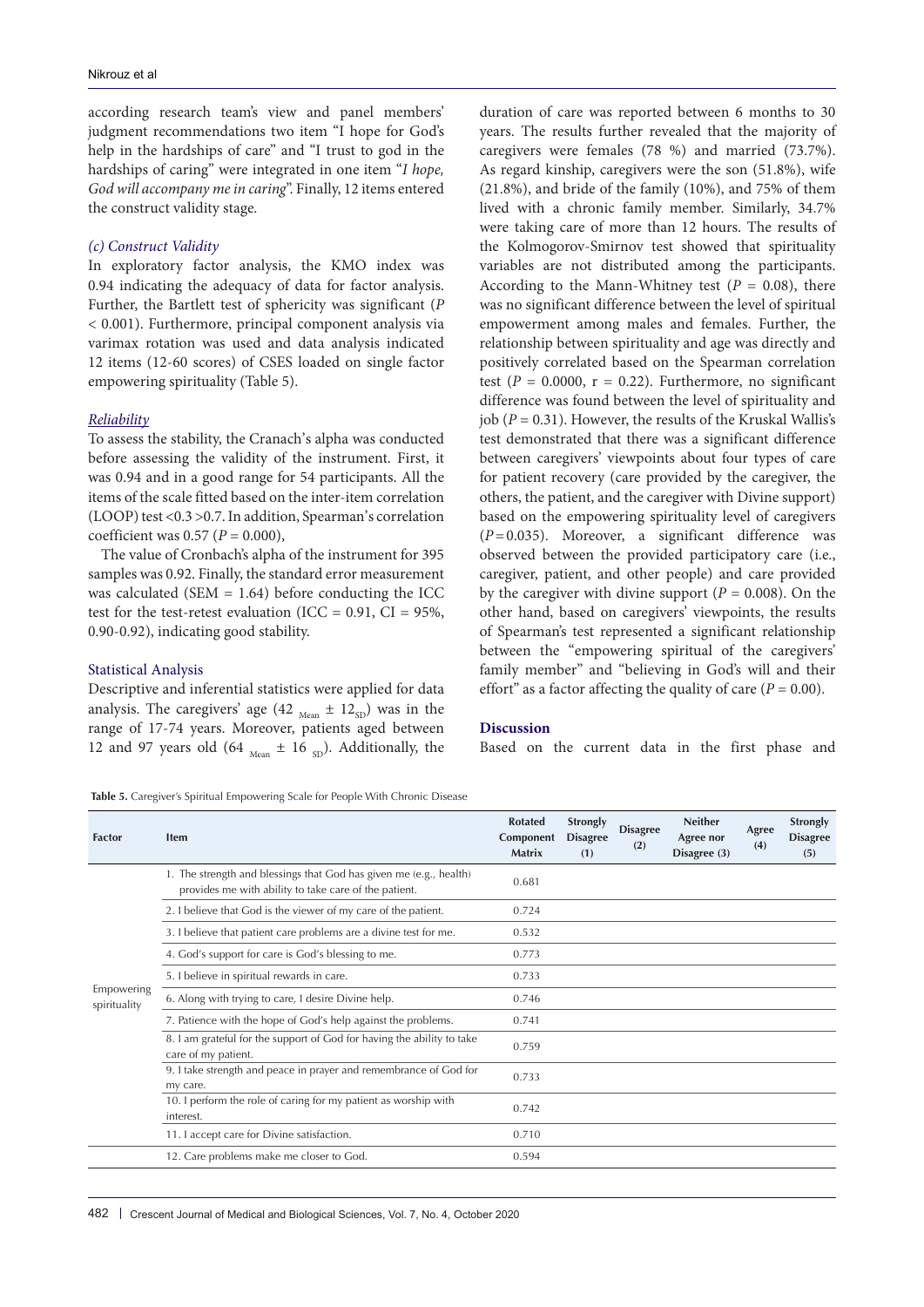according research team's view and panel members' judgment recommendations two item "I hope for God's help in the hardships of care" and "I trust to god in the hardships of caring" were integrated in one item "*I hope, God will accompany me in caring*". Finally, 12 items entered the construct validity stage.

#### *(c) Construct Validity*

In exploratory factor analysis, the KMO index was 0.94 indicating the adequacy of data for factor analysis. Further, the Bartlett test of sphericity was significant (*P* < 0.001). Furthermore, principal component analysis via varimax rotation was used and data analysis indicated 12 items (12-60 scores) of CSES loaded on single factor empowering spirituality (Table 5).

#### *Reliability*

To assess the stability, the Cranach's alpha was conducted before assessing the validity of the instrument. First, it was 0.94 and in a good range for 54 participants. All the items of the scale fitted based on the inter-item correlation (LOOP) test <0.3 >0.7. In addition, Spearman's correlation coefficient was 0.57 (*P* = 0.000),

The value of Cronbach's alpha of the instrument for 395 samples was 0.92. Finally, the standard error measurement was calculated (SEM  $= 1.64$ ) before conducting the ICC test for the test-retest evaluation (ICC =  $0.91$ , CI =  $95\%$ , 0.90-0.92), indicating good stability.

#### Statistical Analysis

Descriptive and inferential statistics were applied for data analysis. The caregivers' age (42  $_{\text{Mean}} \pm 12_{\text{SD}}$ ) was in the range of 17-74 years. Moreover, patients aged between 12 and 97 years old (64  $_{\text{Mean}} \pm 16$  <sub>SD</sub>). Additionally, the

duration of care was reported between 6 months to 30 years. The results further revealed that the majority of caregivers were females (78 %) and married (73.7%). As regard kinship, caregivers were the son (51.8%), wife (21.8%), and bride of the family (10%), and 75% of them lived with a chronic family member. Similarly, 34.7% were taking care of more than 12 hours. The results of the Kolmogorov-Smirnov test showed that spirituality variables are not distributed among the participants. According to the Mann-Whitney test  $(P = 0.08)$ , there was no significant difference between the level of spiritual empowerment among males and females. Further, the relationship between spirituality and age was directly and positively correlated based on the Spearman correlation test  $(P = 0.0000, r = 0.22)$ . Furthermore, no significant difference was found between the level of spirituality and job (*P* = 0.31). However, the results of the Kruskal Wallis's test demonstrated that there was a significant difference between caregivers' viewpoints about four types of care for patient recovery (care provided by the caregiver, the others, the patient, and the caregiver with Divine support) based on the empowering spirituality level of caregivers (*P*=0.035). Moreover, a significant difference was observed between the provided participatory care (i.e., caregiver, patient, and other people) and care provided by the caregiver with divine support  $(P = 0.008)$ . On the other hand, based on caregivers' viewpoints, the results of Spearman's test represented a significant relationship between the "empowering spiritual of the caregivers' family member" and "believing in God's will and their effort" as a factor affecting the quality of care  $(P = 0.00)$ .

#### **Discussion**

Based on the current data in the first phase and

**Table 5.** Caregiver's Spiritual Empowering Scale for People With Chronic Disease

| <b>Factor</b>              | <b>Item</b>                                                                                                                 | <b>Rotated</b><br>Component<br><b>Matrix</b> | <b>Strongly</b><br><b>Disagree</b><br>(1) | <b>Disagree</b><br>(2) | <b>Neither</b><br>Agree nor<br>Disagree (3) | Agree<br>(4) | <b>Strongly</b><br><b>Disagree</b><br>(5) |
|----------------------------|-----------------------------------------------------------------------------------------------------------------------------|----------------------------------------------|-------------------------------------------|------------------------|---------------------------------------------|--------------|-------------------------------------------|
|                            | 1. The strength and blessings that God has given me (e.g., health)<br>provides me with ability to take care of the patient. | 0.681                                        |                                           |                        |                                             |              |                                           |
|                            | 2. I believe that God is the viewer of my care of the patient.                                                              | 0.724                                        |                                           |                        |                                             |              |                                           |
|                            | 3. I believe that patient care problems are a divine test for me.                                                           | 0.532                                        |                                           |                        |                                             |              |                                           |
|                            | 4. God's support for care is God's blessing to me.                                                                          | 0.773                                        |                                           |                        |                                             |              |                                           |
| Empowering<br>spirituality | 5. I believe in spiritual rewards in care.                                                                                  | 0.733                                        |                                           |                        |                                             |              |                                           |
|                            | 6. Along with trying to care, I desire Divine help.                                                                         | 0.746                                        |                                           |                        |                                             |              |                                           |
|                            | 7. Patience with the hope of God's help against the problems.                                                               | 0.741                                        |                                           |                        |                                             |              |                                           |
|                            | 8. I am grateful for the support of God for having the ability to take<br>care of my patient.                               | 0.759                                        |                                           |                        |                                             |              |                                           |
|                            | 9. I take strength and peace in prayer and remembrance of God for<br>my care.                                               | 0.733                                        |                                           |                        |                                             |              |                                           |
|                            | 10. I perform the role of caring for my patient as worship with<br>interest.                                                | 0.742                                        |                                           |                        |                                             |              |                                           |
|                            | 11. I accept care for Divine satisfaction.                                                                                  | 0.710                                        |                                           |                        |                                             |              |                                           |
|                            | 12. Care problems make me closer to God.                                                                                    | 0.594                                        |                                           |                        |                                             |              |                                           |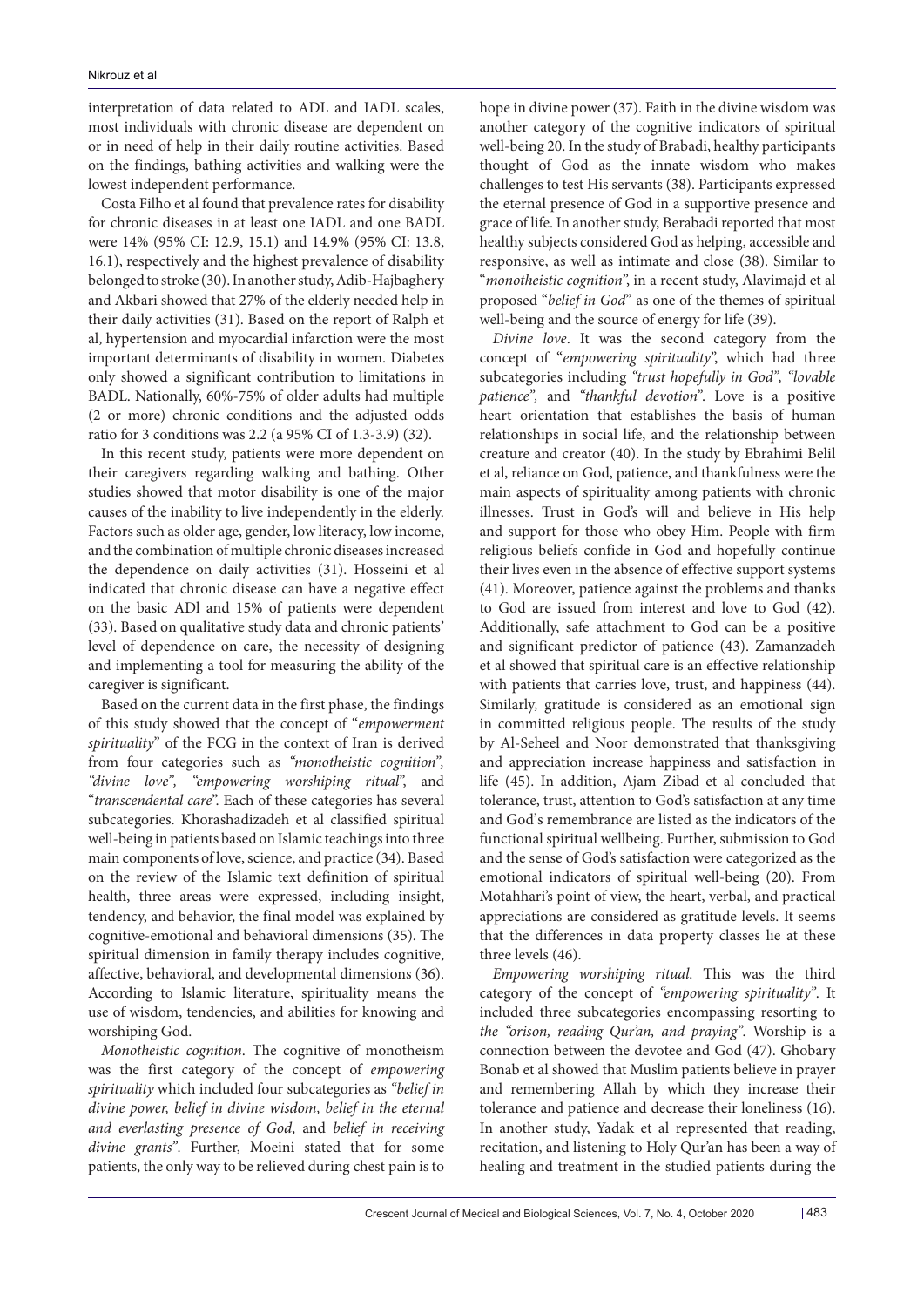interpretation of data related to ADL and IADL scales, most individuals with chronic disease are dependent on or in need of help in their daily routine activities. Based on the findings, bathing activities and walking were the lowest independent performance.

Costa Filho et al found that prevalence rates for disability for chronic diseases in at least one IADL and one BADL were 14% (95% CI: 12.9, 15.1) and 14.9% (95% CI: 13.8, 16.1), respectively and the highest prevalence of disability belonged to stroke (30). In another study, Adib-Hajbaghery and Akbari showed that 27% of the elderly needed help in their daily activities (31). Based on the report of Ralph et al, hypertension and myocardial infarction were the most important determinants of disability in women. Diabetes only showed a significant contribution to limitations in BADL. Nationally, 60%-75% of older adults had multiple (2 or more) chronic conditions and the adjusted odds ratio for 3 conditions was 2.2 (a 95% CI of 1.3-3.9) (32).

In this recent study, patients were more dependent on their caregivers regarding walking and bathing. Other studies showed that motor disability is one of the major causes of the inability to live independently in the elderly. Factors such as older age, gender, low literacy, low income, and the combination of multiple chronic diseases increased the dependence on daily activities (31). Hosseini et al indicated that chronic disease can have a negative effect on the basic ADl and 15% of patients were dependent (33). Based on qualitative study data and chronic patients' level of dependence on care, the necessity of designing and implementing a tool for measuring the ability of the caregiver is significant.

Based on the current data in the first phase, the findings of this study showed that the concept of "*empowerment spirituality*" of the FCG in the context of Iran is derived from four categories such as *"monotheistic cognition", "divine love", "empowering worshiping ritual*", and "*transcendental care*". Each of these categories has several subcategories. Khorashadizadeh et al classified spiritual well-being in patients based on Islamic teachings into three main components of love, science, and practice (34). Based on the review of the Islamic text definition of spiritual health, three areas were expressed, including insight, tendency, and behavior, the final model was explained by cognitive-emotional and behavioral dimensions (35). The spiritual dimension in family therapy includes cognitive, affective, behavioral, and developmental dimensions (36). According to Islamic literature, spirituality means the use of wisdom, tendencies, and abilities for knowing and worshiping God.

*Monotheistic cognition*. The cognitive of monotheism was the first category of the concept of *empowering spirituality* which included four subcategories as *"belief in divine power, belief in divine wisdom, belief in the eternal and everlasting presence of God*, and *belief in receiving divine grants"*. Further, Moeini stated that for some patients, the only way to be relieved during chest pain is to hope in divine power (37). Faith in the divine wisdom was another category of the cognitive indicators of spiritual well-being 20. In the study of Brabadi, healthy participants thought of God as the innate wisdom who makes challenges to test His servants (38). Participants expressed the eternal presence of God in a supportive presence and grace of life. In another study, Berabadi reported that most healthy subjects considered God as helping, accessible and responsive, as well as intimate and close (38). Similar to "*monotheistic cognition*", in a recent study, Alavimajd et al proposed "*belief in God*" as one of the themes of spiritual well-being and the source of energy for life (39).

*Divine love*. It was the second category from the concept of "*empowering spirituality*", which had three subcategories including *"trust hopefully in God", "lovable patience",* and *"thankful devotion"*. Love is a positive heart orientation that establishes the basis of human relationships in social life, and the relationship between creature and creator (40). In the study by Ebrahimi Belil et al, reliance on God, patience, and thankfulness were the main aspects of spirituality among patients with chronic illnesses. Trust in God's will and believe in His help and support for those who obey Him. People with firm religious beliefs confide in God and hopefully continue their lives even in the absence of effective support systems (41). Moreover, patience against the problems and thanks to God are issued from interest and love to God (42). Additionally, safe attachment to God can be a positive and significant predictor of patience (43). Zamanzadeh et al showed that spiritual care is an effective relationship with patients that carries love, trust, and happiness (44). Similarly, gratitude is considered as an emotional sign in committed religious people. The results of the study by Al-Seheel and Noor demonstrated that thanksgiving and appreciation increase happiness and satisfaction in life (45). In addition, Ajam Zibad et al concluded that tolerance, trust, attention to God's satisfaction at any time and God's remembrance are listed as the indicators of the functional spiritual wellbeing. Further, submission to God and the sense of God's satisfaction were categorized as the emotional indicators of spiritual well-being (20). From Motahhari's point of view, the heart, verbal, and practical appreciations are considered as gratitude levels. It seems that the differences in data property classes lie at these three levels (46).

*Empowering worshiping ritual*. This was the third category of the concept of *"empowering spirituality"*. It included three subcategories encompassing resorting to *the "orison, reading Qur'an, and praying".* Worship is a connection between the devotee and God (47). Ghobary Bonab et al showed that Muslim patients believe in prayer and remembering Allah by which they increase their tolerance and patience and decrease their loneliness (16). In another study, Yadak et al represented that reading, recitation, and listening to Holy Qur'an has been a way of healing and treatment in the studied patients during the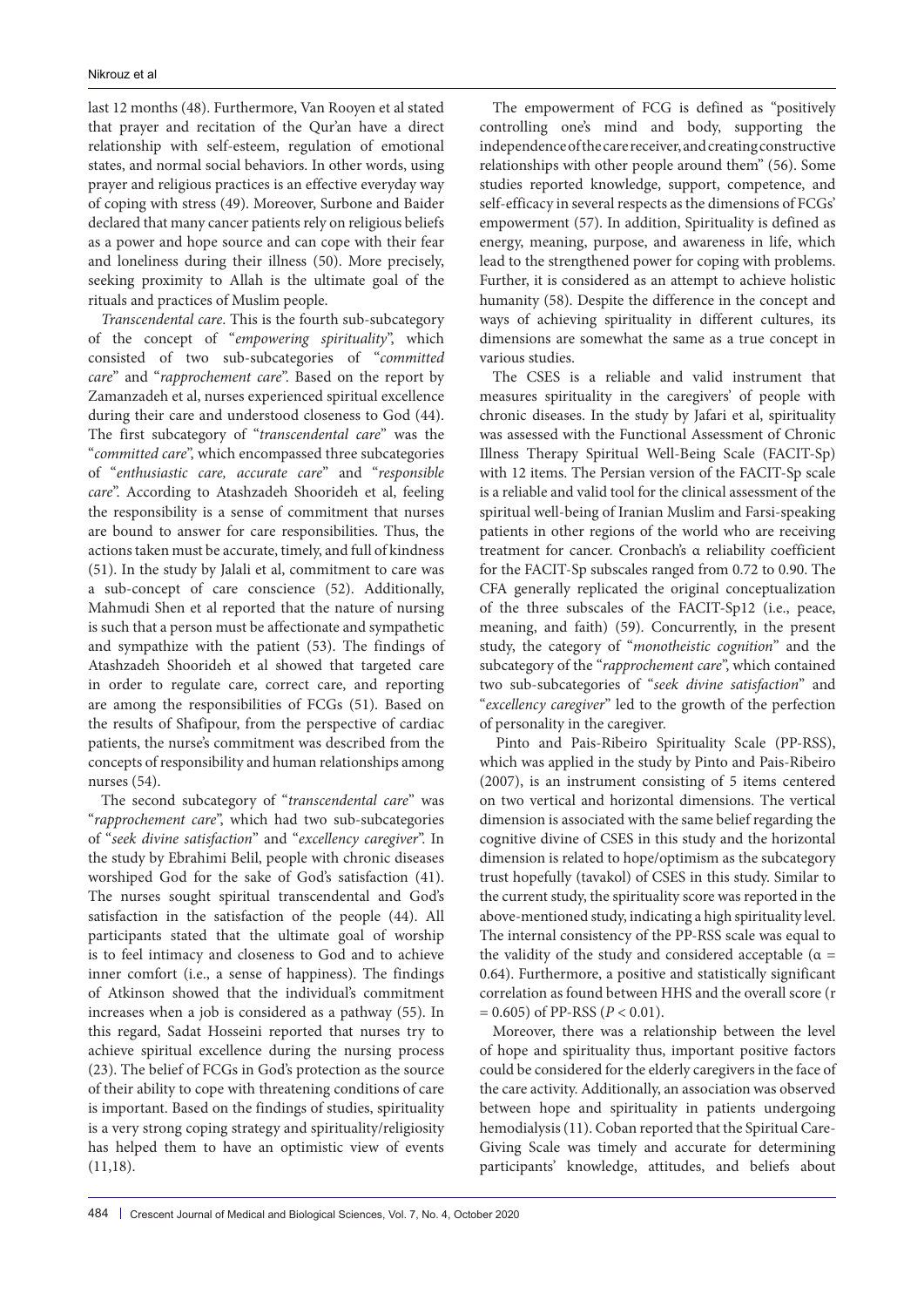last 12 months (48). Furthermore, Van Rooyen et al stated that prayer and recitation of the Qur'an have a direct relationship with self-esteem, regulation of emotional states, and normal social behaviors. In other words, using prayer and religious practices is an effective everyday way of coping with stress (49). Moreover, Surbone and Baider declared that many cancer patients rely on religious beliefs as a power and hope source and can cope with their fear and loneliness during their illness (50). More precisely, seeking proximity to Allah is the ultimate goal of the rituals and practices of Muslim people.

*Transcendental care*. This is the fourth sub-subcategory of the concept of "*empowering spirituality*", which consisted of two sub-subcategories of "*committed care*" and "*rapprochement care*". Based on the report by Zamanzadeh et al, nurses experienced spiritual excellence during their care and understood closeness to God (44). The first subcategory of "*transcendental care*" was the "*committed care*", which encompassed three subcategories of "*enthusiastic care, accurate care*" and "*responsible care*". According to Atashzadeh Shoorideh et al, feeling the responsibility is a sense of commitment that nurses are bound to answer for care responsibilities. Thus, the actions taken must be accurate, timely, and full of kindness (51). In the study by Jalali et al, commitment to care was a sub-concept of care conscience (52). Additionally, Mahmudi Shen et al reported that the nature of nursing is such that a person must be affectionate and sympathetic and sympathize with the patient (53). The findings of Atashzadeh Shoorideh et al showed that targeted care in order to regulate care, correct care, and reporting are among the responsibilities of FCGs (51). Based on the results of Shafipour, from the perspective of cardiac patients, the nurse's commitment was described from the concepts of responsibility and human relationships among nurses (54).

The second subcategory of "*transcendental care*" was "*rapprochement care*", which had two sub-subcategories of "*seek divine satisfaction*" and "*excellency caregiver*". In the study by Ebrahimi Belil, people with chronic diseases worshiped God for the sake of God's satisfaction (41). The nurses sought spiritual transcendental and God's satisfaction in the satisfaction of the people (44). All participants stated that the ultimate goal of worship is to feel intimacy and closeness to God and to achieve inner comfort (i.e., a sense of happiness). The findings of Atkinson showed that the individual's commitment increases when a job is considered as a pathway (55). In this regard, Sadat Hosseini reported that nurses try to achieve spiritual excellence during the nursing process (23). The belief of FCGs in God's protection as the source of their ability to cope with threatening conditions of care is important. Based on the findings of studies, spirituality is a very strong coping strategy and spirituality/religiosity has helped them to have an optimistic view of events (11,18).

The empowerment of FCG is defined as "positively controlling one's mind and body, supporting the independence of the care receiver, and creating constructive relationships with other people around them" (56). Some studies reported knowledge, support, competence, and self-efficacy in several respects as the dimensions of FCGs' empowerment (57). In addition, Spirituality is defined as energy, meaning, purpose, and awareness in life, which lead to the strengthened power for coping with problems. Further, it is considered as an attempt to achieve holistic humanity (58). Despite the difference in the concept and ways of achieving spirituality in different cultures, its dimensions are somewhat the same as a true concept in various studies.

The CSES is a reliable and valid instrument that measures spirituality in the caregivers' of people with chronic diseases. In the study by Jafari et al, spirituality was assessed with the Functional Assessment of Chronic Illness Therapy Spiritual Well-Being Scale (FACIT-Sp) with 12 items. The Persian version of the FACIT-Sp scale is a reliable and valid tool for the clinical assessment of the spiritual well-being of Iranian Muslim and Farsi-speaking patients in other regions of the world who are receiving treatment for cancer. Cronbach's α reliability coefficient for the FACIT-Sp subscales ranged from 0.72 to 0.90. The CFA generally replicated the original conceptualization of the three subscales of the FACIT-Sp12 (i.e., peace, meaning, and faith) (59). Concurrently, in the present study, the category of "*monotheistic cognition*" and the subcategory of the "*rapprochement care*", which contained two sub-subcategories of "*seek divine satisfaction*" and "*excellency caregiver*" led to the growth of the perfection of personality in the caregiver.

Pinto and Pais-Ribeiro Spirituality Scale (PP-RSS), which was applied in the study by Pinto and Pais-Ribeiro (2007), is an instrument consisting of 5 items centered on two vertical and horizontal dimensions. The vertical dimension is associated with the same belief regarding the cognitive divine of CSES in this study and the horizontal dimension is related to hope/optimism as the subcategory trust hopefully (tavakol) of CSES in this study. Similar to the current study, the spirituality score was reported in the above-mentioned study, indicating a high spirituality level. The internal consistency of the PP-RSS scale was equal to the validity of the study and considered acceptable ( $\alpha$  = 0.64). Furthermore, a positive and statistically significant correlation as found between HHS and the overall score (r  $= 0.605$ ) of PP-RSS ( $P < 0.01$ ).

Moreover, there was a relationship between the level of hope and spirituality thus, important positive factors could be considered for the elderly caregivers in the face of the care activity. Additionally, an association was observed between hope and spirituality in patients undergoing hemodialysis (11). Coban reported that the Spiritual Care-Giving Scale was timely and accurate for determining participants' knowledge, attitudes, and beliefs about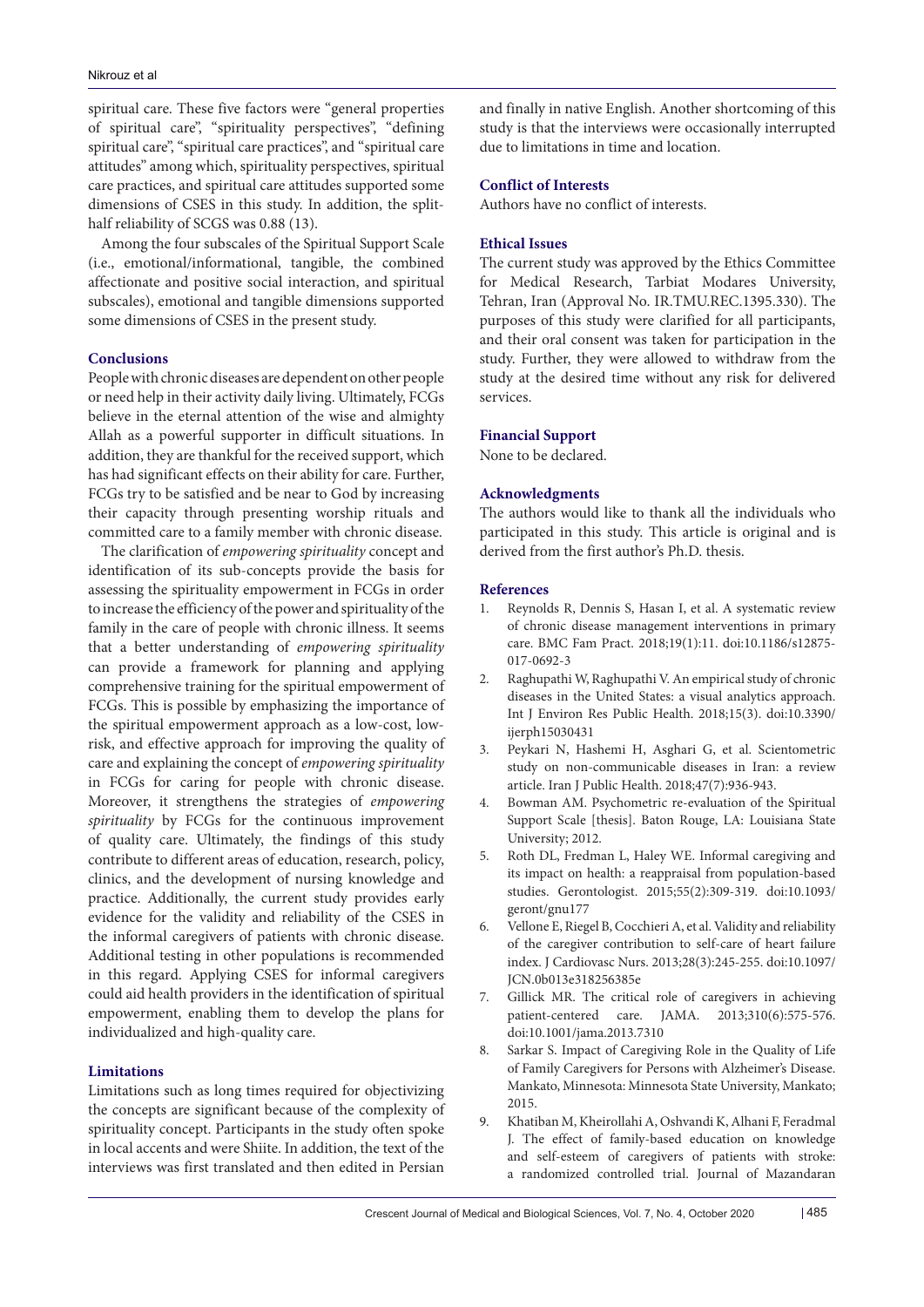spiritual care. These five factors were "general properties of spiritual care", "spirituality perspectives", "defining spiritual care", "spiritual care practices", and "spiritual care attitudes" among which, spirituality perspectives, spiritual care practices, and spiritual care attitudes supported some dimensions of CSES in this study. In addition, the splithalf reliability of SCGS was 0.88 (13).

Among the four subscales of the Spiritual Support Scale (i.e., emotional/informational, tangible, the combined affectionate and positive social interaction, and spiritual subscales), emotional and tangible dimensions supported some dimensions of CSES in the present study.

#### **Conclusions**

People with chronic diseases are dependent on other people or need help in their activity daily living. Ultimately, FCGs believe in the eternal attention of the wise and almighty Allah as a powerful supporter in difficult situations. In addition, they are thankful for the received support, which has had significant effects on their ability for care. Further, FCGs try to be satisfied and be near to God by increasing their capacity through presenting worship rituals and committed care to a family member with chronic disease.

The clarification of *empowering spirituality* concept and identification of its sub-concepts provide the basis for assessing the spirituality empowerment in FCGs in order to increase the efficiency of the power and spirituality of the family in the care of people with chronic illness. It seems that a better understanding of *empowering spirituality*  can provide a framework for planning and applying comprehensive training for the spiritual empowerment of FCGs. This is possible by emphasizing the importance of the spiritual empowerment approach as a low-cost, lowrisk, and effective approach for improving the quality of care and explaining the concept of *empowering spirituality* in FCGs for caring for people with chronic disease. Moreover, it strengthens the strategies of *empowering spirituality* by FCGs for the continuous improvement of quality care. Ultimately, the findings of this study contribute to different areas of education, research, policy, clinics, and the development of nursing knowledge and practice. Additionally, the current study provides early evidence for the validity and reliability of the CSES in the informal caregivers of patients with chronic disease. Additional testing in other populations is recommended in this regard. Applying CSES for informal caregivers could aid health providers in the identification of spiritual empowerment, enabling them to develop the plans for individualized and high-quality care.

#### **Limitations**

Limitations such as long times required for objectivizing the concepts are significant because of the complexity of spirituality concept. Participants in the study often spoke in local accents and were Shiite. In addition, the text of the interviews was first translated and then edited in Persian

and finally in native English. Another shortcoming of this study is that the interviews were occasionally interrupted due to limitations in time and location.

#### **Conflict of Interests**

Authors have no conflict of interests.

#### **Ethical Issues**

The current study was approved by the Ethics Committee for Medical Research, Tarbiat Modares University, Tehran, Iran (Approval No. IR.TMU.REC.1395.330). The purposes of this study were clarified for all participants, and their oral consent was taken for participation in the study. Further, they were allowed to withdraw from the study at the desired time without any risk for delivered services.

#### **Financial Support**

None to be declared.

#### **Acknowledgments**

The authors would like to thank all the individuals who participated in this study. This article is original and is derived from the first author's Ph.D. thesis.

#### **References**

- 1. Reynolds R, Dennis S, Hasan I, et al. A systematic review of chronic disease management interventions in primary care. BMC Fam Pract. 2018;19(1):11. doi:10.1186/s12875- 017-0692-3
- 2. Raghupathi W, Raghupathi V. An empirical study of chronic diseases in the United States: a visual analytics approach. Int J Environ Res Public Health. 2018;15(3). doi:10.3390/ ijerph15030431
- 3. Peykari N, Hashemi H, Asghari G, et al. Scientometric study on non-communicable diseases in Iran: a review article. Iran J Public Health. 2018;47(7):936-943.
- 4. Bowman AM. Psychometric re-evaluation of the Spiritual Support Scale [thesis]. Baton Rouge, LA: Louisiana State University; 2012.
- 5. Roth DL, Fredman L, Haley WE. Informal caregiving and its impact on health: a reappraisal from population-based studies. Gerontologist. 2015;55(2):309-319. doi:10.1093/ geront/gnu177
- 6. Vellone E, Riegel B, Cocchieri A, et al. Validity and reliability of the caregiver contribution to self-care of heart failure index. J Cardiovasc Nurs. 2013;28(3):245-255. doi:10.1097/ JCN.0b013e318256385e
- 7. Gillick MR. The critical role of caregivers in achieving patient-centered care. JAMA. 2013;310(6):575-576. doi:10.1001/jama.2013.7310
- 8. Sarkar S. Impact of Caregiving Role in the Quality of Life of Family Caregivers for Persons with Alzheimer's Disease. Mankato, Minnesota: Minnesota State University, Mankato; 2015.
- 9. Khatiban M, Kheirollahi A, Oshvandi K, Alhani F, Feradmal J. The effect of family-based education on knowledge and self-esteem of caregivers of patients with stroke: a randomized controlled trial. Journal of Mazandaran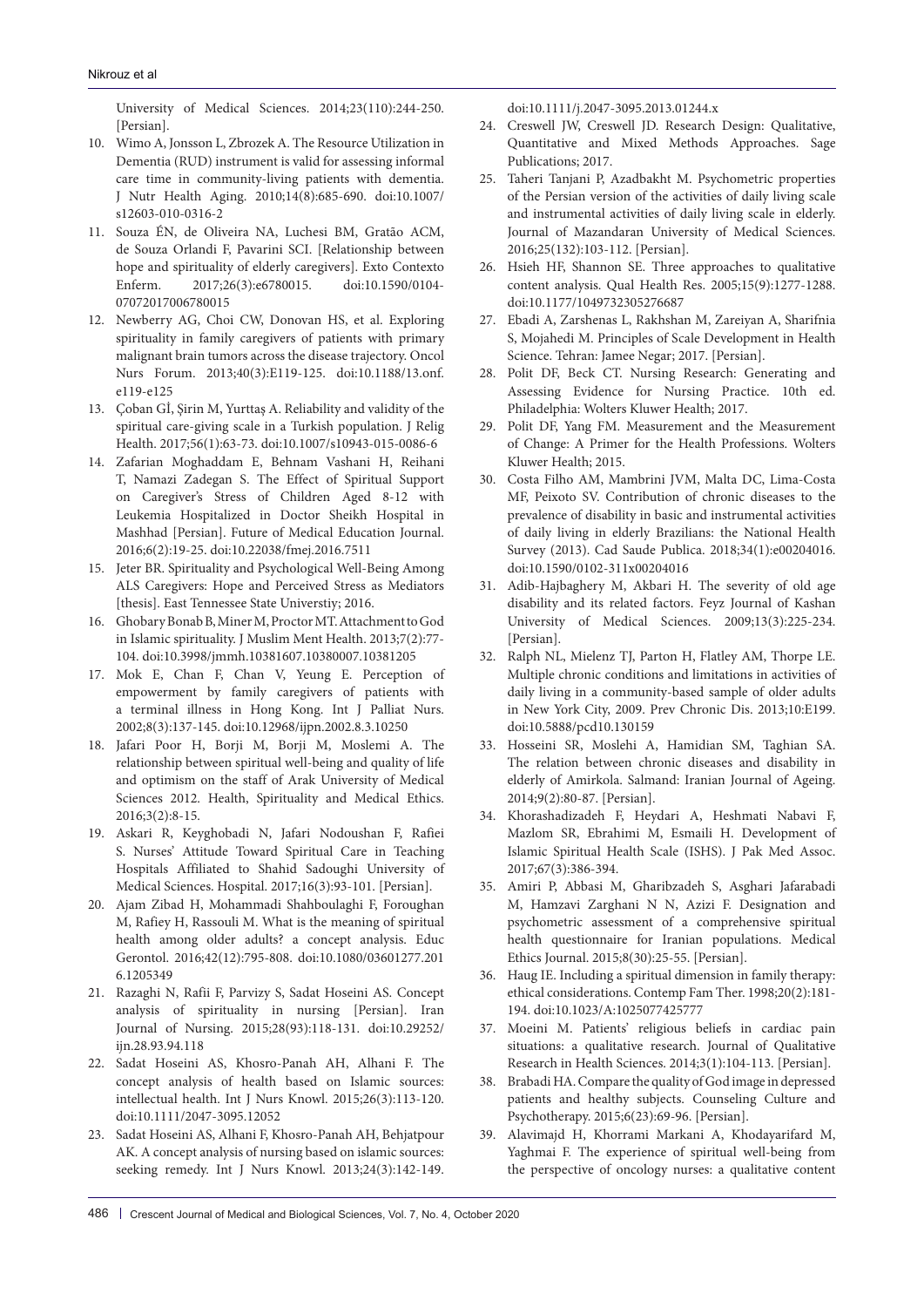University of Medical Sciences. 2014;23(110):244-250. [Persian].

- 10. Wimo A, Jonsson L, Zbrozek A. The Resource Utilization in Dementia (RUD) instrument is valid for assessing informal care time in community-living patients with dementia. J Nutr Health Aging. 2010;14(8):685-690. doi:10.1007/ s12603-010-0316-2
- 11. Souza ÉN, de Oliveira NA, Luchesi BM, Gratão ACM, de Souza Orlandi F, Pavarini SCI. [Relationship between hope and spirituality of elderly caregivers]. Exto Contexto Enferm. 2017;26(3):e6780015. doi:10.1590/0104- 07072017006780015
- 12. Newberry AG, Choi CW, Donovan HS, et al. Exploring spirituality in family caregivers of patients with primary malignant brain tumors across the disease trajectory. Oncol Nurs Forum. 2013;40(3):E119-125. doi:10.1188/13.onf. e119-e125
- 13. Çoban Gİ, Şirin M, Yurttaş A. Reliability and validity of the spiritual care-giving scale in a Turkish population. J Relig Health. 2017;56(1):63-73. doi:10.1007/s10943-015-0086-6
- 14. Zafarian Moghaddam E, Behnam Vashani H, Reihani T, Namazi Zadegan S. The Effect of Spiritual Support on Caregiver's Stress of Children Aged 8-12 with Leukemia Hospitalized in Doctor Sheikh Hospital in Mashhad [Persian]. Future of Medical Education Journal. 2016;6(2):19-25. doi:10.22038/fmej.2016.7511
- 15. Jeter BR. Spirituality and Psychological Well-Being Among ALS Caregivers: Hope and Perceived Stress as Mediators [thesis]. East Tennessee State Universtiy; 2016.
- 16. Ghobary Bonab B, Miner M, Proctor MT. Attachment to God in Islamic spirituality. J Muslim Ment Health. 2013;7(2):77- 104. doi:10.3998/jmmh.10381607.10380007.10381205
- 17. Mok E, Chan F, Chan V, Yeung E. Perception of empowerment by family caregivers of patients with a terminal illness in Hong Kong. Int J Palliat Nurs. 2002;8(3):137-145. doi:10.12968/ijpn.2002.8.3.10250
- 18. Jafari Poor H, Borji M, Borji M, Moslemi A. The relationship between spiritual well-being and quality of life and optimism on the staff of Arak University of Medical Sciences 2012. Health, Spirituality and Medical Ethics. 2016;3(2):8-15.
- 19. Askari R, Keyghobadi N, Jafari Nodoushan F, Rafiei S. Nurses' Attitude Toward Spiritual Care in Teaching Hospitals Affiliated to Shahid Sadoughi University of Medical Sciences. Hospital. 2017;16(3):93-101. [Persian].
- 20. Ajam Zibad H, Mohammadi Shahboulaghi F, Foroughan M, Rafiey H, Rassouli M. What is the meaning of spiritual health among older adults? a concept analysis. Educ Gerontol. 2016;42(12):795-808. doi:10.1080/03601277.201 6.1205349
- 21. Razaghi N, Rafii F, Parvizy S, Sadat Hoseini AS. Concept analysis of spirituality in nursing [Persian]. Iran Journal of Nursing. 2015;28(93):118-131. doi:10.29252/ ijn.28.93.94.118
- 22. Sadat Hoseini AS, Khosro-Panah AH, Alhani F. The concept analysis of health based on Islamic sources: intellectual health. Int J Nurs Knowl. 2015;26(3):113-120. doi:10.1111/2047-3095.12052
- 23. Sadat Hoseini AS, Alhani F, Khosro-Panah AH, Behjatpour AK. A concept analysis of nursing based on islamic sources: seeking remedy. Int J Nurs Knowl. 2013;24(3):142-149.

doi:10.1111/j.2047-3095.2013.01244.x

- 24. Creswell JW, Creswell JD. Research Design: Qualitative, Quantitative and Mixed Methods Approaches. Sage Publications; 2017.
- 25. Taheri Tanjani P, Azadbakht M. Psychometric properties of the Persian version of the activities of daily living scale and instrumental activities of daily living scale in elderly. Journal of Mazandaran University of Medical Sciences. 2016;25(132):103-112. [Persian].
- 26. Hsieh HF, Shannon SE. Three approaches to qualitative content analysis. Qual Health Res. 2005;15(9):1277-1288. doi:10.1177/1049732305276687
- 27. Ebadi A, Zarshenas L, Rakhshan M, Zareiyan A, Sharifnia S, Mojahedi M. Principles of Scale Development in Health Science. Tehran: Jamee Negar; 2017. [Persian].
- 28. Polit DF, Beck CT. Nursing Research: Generating and Assessing Evidence for Nursing Practice. 10th ed. Philadelphia: Wolters Kluwer Health; 2017.
- 29. Polit DF, Yang FM. Measurement and the Measurement of Change: A Primer for the Health Professions. Wolters Kluwer Health; 2015.
- 30. Costa Filho AM, Mambrini JVM, Malta DC, Lima-Costa MF, Peixoto SV. Contribution of chronic diseases to the prevalence of disability in basic and instrumental activities of daily living in elderly Brazilians: the National Health Survey (2013). Cad Saude Publica. 2018;34(1):e00204016. doi:10.1590/0102-311x00204016
- 31. Adib-Hajbaghery M, Akbari H. The severity of old age disability and its related factors. Feyz Journal of Kashan University of Medical Sciences. 2009;13(3):225-234. [Persian].
- 32. Ralph NL, Mielenz TJ, Parton H, Flatley AM, Thorpe LE. Multiple chronic conditions and limitations in activities of daily living in a community-based sample of older adults in New York City, 2009. Prev Chronic Dis. 2013;10:E199. doi:10.5888/pcd10.130159
- 33. Hosseini SR, Moslehi A, Hamidian SM, Taghian SA. The relation between chronic diseases and disability in elderly of Amirkola. Salmand: Iranian Journal of Ageing. 2014;9(2):80-87. [Persian].
- 34. Khorashadizadeh F, Heydari A, Heshmati Nabavi F, Mazlom SR, Ebrahimi M, Esmaili H. Development of Islamic Spiritual Health Scale (ISHS). J Pak Med Assoc. 2017;67(3):386-394.
- 35. Amiri P, Abbasi M, Gharibzadeh S, Asghari Jafarabadi M, Hamzavi Zarghani N N, Azizi F. Designation and psychometric assessment of a comprehensive spiritual health questionnaire for Iranian populations. Medical Ethics Journal. 2015;8(30):25-55. [Persian].
- 36. Haug IE. Including a spiritual dimension in family therapy: ethical considerations. Contemp Fam Ther. 1998;20(2):181- 194. doi:10.1023/A:1025077425777
- 37. Moeini M. Patients' religious beliefs in cardiac pain situations: a qualitative research. Journal of Qualitative Research in Health Sciences. 2014;3(1):104-113. [Persian].
- 38. Brabadi HA. Compare the quality of God image in depressed patients and healthy subjects. Counseling Culture and Psychotherapy. 2015;6(23):69-96. [Persian].
- 39. Alavimajd H, Khorrami Markani A, Khodayarifard M, Yaghmai F. The experience of spiritual well-being from the perspective of oncology nurses: a qualitative content